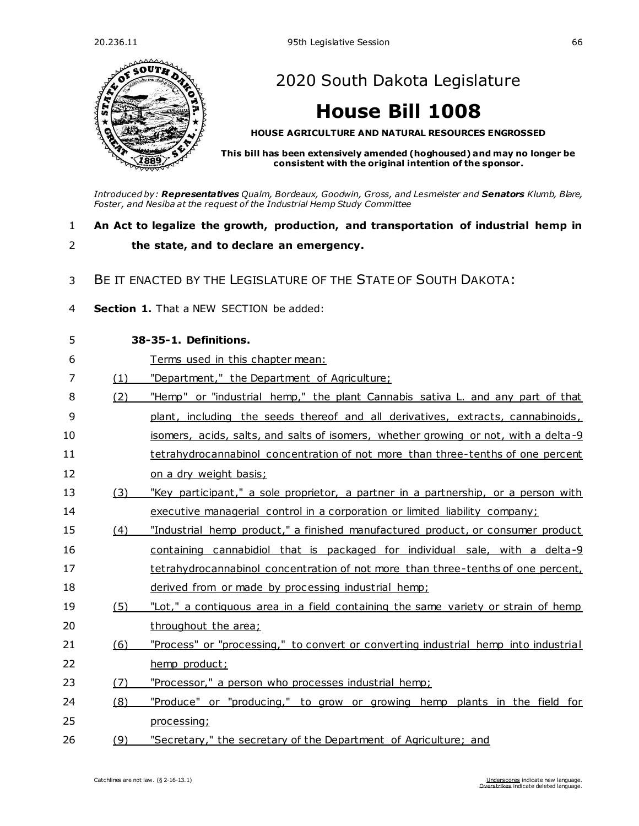

[2020 South Dakota Legislature](https://sdlegislature.gov/Legislative_Session/Bills/Default.aspx?Session=2020)

# **[House Bill 1008](https://sdlegislature.gov/Legislative_Session/Bills/Bill.aspx?Bill=1008&Session=2020)**

**HOUSE AGRICULTURE AND NATURAL RESOURCES ENGROSSED**

**This bill has been extensively amended (hoghoused) and may no longer be consistent with the original intention of the sponsor.**

*Introduced by: Representatives [Qualm, Bordeaux,](https://sdlegislature.gov/Legislators/Legislators/MemberDetail.aspx?Session=2020&Member=1725&Cleaned=True) [Goodwin, Gross, a](https://sdlegislature.gov/Legislators/Legislators/MemberDetail.aspx?Session=2020&Member=1744&Cleaned=True)n[d Lesmeister](https://sdlegislature.gov/Legislators/Legislators/MemberDetail.aspx?Session=2020&Member=1655&Cleaned=True) and Senators [Klumb, Blare,](https://sdlegislature.gov/Legislators/Legislators/MemberDetail.aspx?Session=2020&Member=1717&Cleaned=True)  [Foster, a](https://sdlegislature.gov/Legislators/Legislators/MemberDetail.aspx?Session=2020&Member=1659&Cleaned=True)n[d Nesiba](https://sdlegislature.gov/Legislators/Legislators/MemberDetail.aspx?Session=2020&Member=1651&Cleaned=True) at the request of the Industrial Hemp Study Committee*

### 1 **An Act to legalize the growth, production, and transportation of industrial hemp in**  2 **the state, and to declare an emergency.**

- 
- 3 BE IT ENACTED BY THE LEGISLATURE OF THE STATE OF SOUTH DAKOTA:
- 4 **Section 1.** That a NEW SECTION be added:

| 5  |     | 38-35-1. Definitions.                                                               |  |  |
|----|-----|-------------------------------------------------------------------------------------|--|--|
| 6  |     | Terms used in this chapter mean:                                                    |  |  |
| 7  | (1) | "Department," the Department of Agriculture;                                        |  |  |
| 8  | (2) | "Hemp" or "industrial hemp," the plant Cannabis sativa L. and any part of that      |  |  |
| 9  |     | plant, including the seeds thereof and all derivatives, extracts, cannabinoids,     |  |  |
| 10 |     | isomers, acids, salts, and salts of isomers, whether growing or not, with a delta-9 |  |  |
| 11 |     | tetrahydrocannabinol concentration of not more than three-tenths of one percent     |  |  |
| 12 |     | on a dry weight basis;                                                              |  |  |
| 13 | (3) | "Key participant," a sole proprietor, a partner in a partnership, or a person with  |  |  |
| 14 |     | executive managerial control in a corporation or limited liability company;         |  |  |
| 15 | (4) | "Industrial hemp product," a finished manufactured product, or consumer product     |  |  |
| 16 |     | containing cannabidiol that is packaged for individual sale, with a delta-9         |  |  |
| 17 |     | tetrahydrocannabinol concentration of not more than three-tenths of one percent,    |  |  |
| 18 |     | derived from or made by processing industrial hemp;                                 |  |  |
| 19 | (5) | "Lot," a contiguous area in a field containing the same variety or strain of hemp   |  |  |
| 20 |     | throughout the area;                                                                |  |  |
| 21 | (6) | "Process" or "processing," to convert or converting industrial hemp into industrial |  |  |
| 22 |     | hemp product;                                                                       |  |  |
| 23 | (7) | "Processor," a person who processes industrial hemp;                                |  |  |
| 24 | (8) | "Produce" or "producing," to grow or growing hemp plants in the field for           |  |  |
| 25 |     | processing;                                                                         |  |  |
| 26 | (9) | "Secretary," the secretary of the Department of Agriculture; and                    |  |  |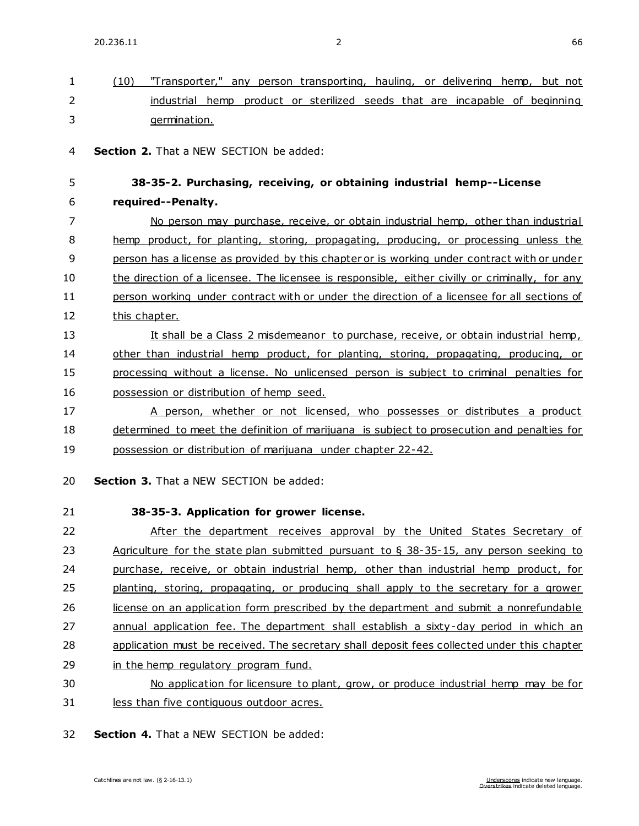1 (10) "Transporter," any person transporting, hauling, or delivering hemp, but not

| 2  | industrial hemp product or sterilized seeds that are incapable of beginning                     |
|----|-------------------------------------------------------------------------------------------------|
| 3  | germination.                                                                                    |
| 4  | Section 2. That a NEW SECTION be added:                                                         |
| 5  | 38-35-2. Purchasing, receiving, or obtaining industrial hemp--License                           |
| 6  | required--Penalty.                                                                              |
| 7  | No person may purchase, receive, or obtain industrial hemp, other than industrial               |
| 8  | hemp product, for planting, storing, propagating, producing, or processing unless the           |
| 9  | person has a license as provided by this chapter or is working under contract with or under     |
| 10 | the direction of a licensee. The licensee is responsible, either civilly or criminally, for any |
| 11 | person working under contract with or under the direction of a licensee for all sections of     |
| 12 | this chapter.                                                                                   |
| 13 | It shall be a Class 2 misdemeanor to purchase, receive, or obtain industrial hemp,              |
| 14 | other than industrial hemp product, for planting, storing, propagating, producing, or           |
| 15 | processing without a license. No unlicensed person is subject to criminal penalties for         |
| 16 | possession or distribution of hemp seed.                                                        |
| 17 | A person, whether or not licensed, who possesses or distributes a product                       |
| 18 | determined to meet the definition of marijuana is subject to prosecution and penalties for      |
| 19 | possession or distribution of marijuana under chapter 22-42.                                    |
| 20 | <b>Section 3.</b> That a NEW SECTION be added:                                                  |
| 21 | 38-35-3. Application for grower license.                                                        |
| 22 | After the department receives approval by the United States Secretary of                        |
| 23 | Agriculture for the state plan submitted pursuant to $\S$ 38-35-15, any person seeking to       |
| 24 | purchase, receive, or obtain industrial hemp, other than industrial hemp product, for           |
| 25 | planting, storing, propagating, or producing shall apply to the secretary for a grower          |
| 26 | license on an application form prescribed by the department and submit a nonrefundable          |
| 27 | annual application fee. The department shall establish a sixty-day period in which an           |
| 28 | application must be received. The secretary shall deposit fees collected under this chapter     |
| 29 | in the hemp regulatory program fund.                                                            |
| 30 | No application for licensure to plant, grow, or produce industrial hemp may be for              |

31 less than five contiguous outdoor acres.

32 **Section 4.** That a NEW SECTION be added: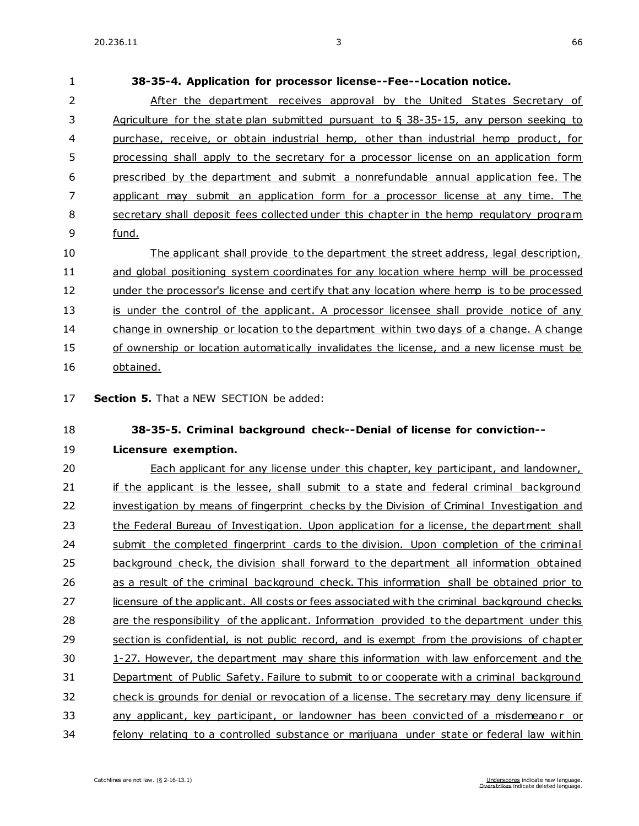**38-35-4. Application for processor license--Fee--Location notice.** After the department receives approval by the United States Secretary of Agriculture for the state plan submitted pursuant to § 38-35-15, any person seeking to purchase, receive, or obtain industrial hemp, other than industrial hemp product, for processing shall apply to the secretary for a processor license on an application form prescribed by the department and submit a nonrefundable annual application fee. The applicant may submit an application form for a processor license at any time. The secretary shall deposit fees collected under this chapter in the hemp regulatory program fund. The applicant shall provide to the department the street address, legal description, and global positioning system coordinates for any location where hemp will be processed 12 under the processor's license and certify that any location where hemp is to be processed

13 is under the control of the applicant. A processor licensee shall provide notice of any change in ownership or location to the department within two days of a change. A change of ownership or location automatically invalidates the license, and a new license must be obtained.

**Section 5.** That a NEW SECTION be added:

### **38-35-5. Criminal background check--Denial of license for conviction--**

### **Licensure exemption.**

 Each applicant for any license under this chapter, key participant, and landowner, 21 if the applicant is the lessee, shall submit to a state and federal criminal background 22 investigation by means of fingerprint checks by the Division of Criminal Investigation and 23 the Federal Bureau of Investigation. Upon application for a license, the department shall 24 submit the completed fingerprint cards to the division. Upon completion of the criminal background check, the division shall forward to the department all information obtained 26 as a result of the criminal background check. This information shall be obtained prior to 27 licensure of the applicant. All costs or fees associated with the criminal background checks are the responsibility of the applicant. Information provided to the department under this section is confidential, is not public record, and is exempt from the provisions of chapter 1-27. However, the department may share this information with law enforcement and the Department of Public Safety. Failure to submit to or cooperate with a criminal background check is grounds for denial or revocation of a license. The secretary may deny licensure if any applicant, key participant, or landowner has been convicted of a misdemeano r or felony relating to a controlled substance or marijuana under state or federal law within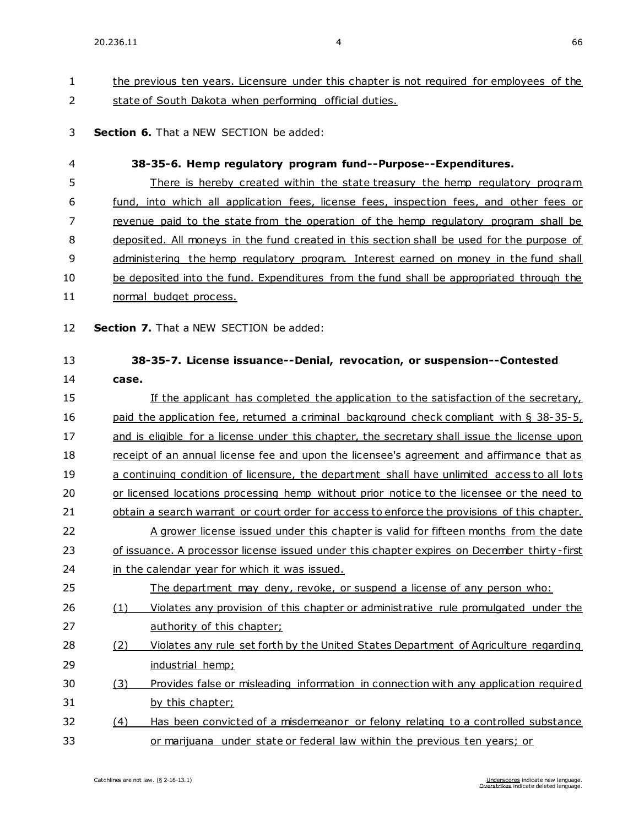# 1 the previous ten years. Licensure under this chapter is not required for employees of the 2 state of South Dakota when performing official duties.

### 3 **Section 6.** That a NEW SECTION be added:

| 4        |                                                                                              | 38-35-6. Hemp regulatory program fund--Purpose--Expenditures.                                                      |  |
|----------|----------------------------------------------------------------------------------------------|--------------------------------------------------------------------------------------------------------------------|--|
| 5        |                                                                                              | There is hereby created within the state treasury the hemp regulatory program                                      |  |
| 6        |                                                                                              | fund, into which all application fees, license fees, inspection fees, and other fees or                            |  |
| 7        |                                                                                              | revenue paid to the state from the operation of the hemp regulatory program shall be                               |  |
| 8        |                                                                                              | deposited. All moneys in the fund created in this section shall be used for the purpose of                         |  |
| 9        |                                                                                              | administering the hemp requlatory program. Interest earned on money in the fund shall                              |  |
| 10       |                                                                                              | be deposited into the fund. Expenditures from the fund shall be appropriated through the                           |  |
| 11       |                                                                                              | normal budget process.                                                                                             |  |
| 12<br>13 |                                                                                              | Section 7. That a NEW SECTION be added:<br>38-35-7. License issuance--Denial, revocation, or suspension--Contested |  |
| 14       | case.                                                                                        |                                                                                                                    |  |
| 15       |                                                                                              | If the applicant has completed the application to the satisfaction of the secretary,                               |  |
| 16       |                                                                                              | paid the application fee, returned a criminal background check compliant with § 38-35-5,                           |  |
| 17       | and is eligible for a license under this chapter, the secretary shall issue the license upon |                                                                                                                    |  |
| 18       | receipt of an annual license fee and upon the licensee's agreement and affirmance that as    |                                                                                                                    |  |
| 19       |                                                                                              | a continuing condition of licensure, the department shall have unlimited access to all lots                        |  |
| 20       |                                                                                              | or licensed locations processing hemp without prior notice to the licensee or the need to                          |  |
| 21       |                                                                                              | obtain a search warrant or court order for access to enforce the provisions of this chapter.                       |  |
| 22       |                                                                                              | A grower license issued under this chapter is valid for fifteen months from the date                               |  |
| 23       |                                                                                              | of issuance. A processor license issued under this chapter expires on December thirty-first                        |  |
| 24       |                                                                                              | in the calendar year for which it was issued.                                                                      |  |
| 25       |                                                                                              | The department may deny, revoke, or suspend a license of any person who:                                           |  |
| 26       | (1)                                                                                          | Violates any provision of this chapter or administrative rule promulgated under the                                |  |
| 27       |                                                                                              | authority of this chapter;                                                                                         |  |
| 28       | (2)                                                                                          | Violates any rule set forth by the United States Department of Agriculture regarding                               |  |
| 29       |                                                                                              | industrial hemp;                                                                                                   |  |
| 30       | (3)                                                                                          | Provides false or misleading information in connection with any application required                               |  |
| 31       |                                                                                              | by this chapter;                                                                                                   |  |
|          |                                                                                              |                                                                                                                    |  |

32 (4) Has been convicted of a misdemeanor or felony relating to a controlled substance 33 or marijuana under state or federal law within the previous ten years; or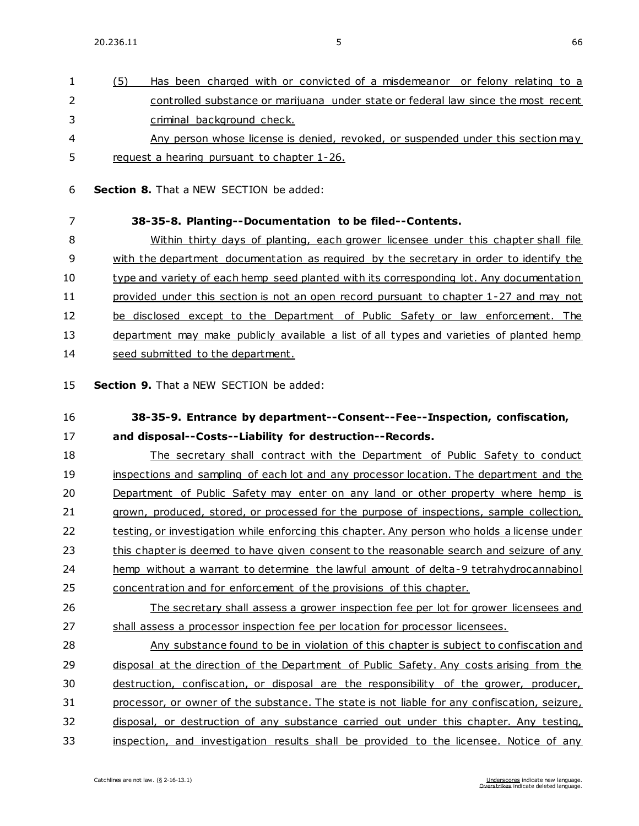1 (5) Has been charged with or convicted of a misdemeanor or felony relating to a 2 controlled substance or marijuana under state or federal law since the most recent

| 3              | criminal background check.                                                                                            |
|----------------|-----------------------------------------------------------------------------------------------------------------------|
| 4              | Any person whose license is denied, revoked, or suspended under this section may                                      |
| 5              | request a hearing pursuant to chapter 1-26.                                                                           |
| 6              | <b>Section 8.</b> That a NEW SECTION be added:                                                                        |
| $\overline{7}$ | 38-35-8. Planting--Documentation to be filed--Contents.                                                               |
| 8              | Within thirty days of planting, each grower licensee under this chapter shall file                                    |
| 9              | with the department documentation as required by the secretary in order to identify the                               |
| 10             | type and variety of each hemp seed planted with its corresponding lot. Any documentation                              |
| 11             | provided under this section is not an open record pursuant to chapter 1-27 and may not                                |
| 12             | be disclosed except to the Department of Public Safety or law enforcement. The                                        |
| 13             | department may make publicly available a list of all types and varieties of planted hemp                              |
| 14             | seed submitted to the department.                                                                                     |
| 15             | Section 9. That a NEW SECTION be added:                                                                               |
| 16             | 38-35-9. Entrance by department--Consent--Fee--Inspection, confiscation,                                              |
| 17             | and disposal--Costs--Liability for destruction--Records.                                                              |
| 18             | The secretary shall contract with the Department of Public Safety to conduct                                          |
| 19             | inspections and sampling of each lot and any processor location. The department and the                               |
| 20             | Department of Public Safety may enter on any land or other property where hemp is                                     |
| 21             | grown, produced, stored, or processed for the purpose of inspections, sample collection,                              |
| 22             | testing, or investigation while enforcing this chapter. Any person who holds a license under                          |
| 23             | this chapter is deemed to have given consent to the reasonable search and seizure of any                              |
| 24             | hemp without a warrant to determine the lawful amount of delta-9 tetrahydrocannabinol                                 |
| 25             | concentration and for enforcement of the provisions of this chapter.                                                  |
| 26             | The secretary shall assess a grower inspection fee per lot for grower licensees and                                   |
| 27             | shall assess a processor inspection fee per location for processor licensees.                                         |
| 28             | Any substance found to be in violation of this chapter is subject to confiscation and                                 |
| 29             | disposal at the direction of the Department of Public Safety. Any costs arising from the                              |
| 30             | destruction, confiscation, or disposal are the responsibility of the grower, producer,                                |
| 31             | processor, or owner of the substance. The state is not liable for any confiscation, seizure,                          |
| 32             | disposal, or destruction of any substance carried out under this chapter. Any testing,                                |
| 33             | inspection, and investigation results shall be provided to the licensee. Notice of any                                |
|                | Catchlines are not law. (§ 2-16-13.1)<br>Underscores indicate new language.<br>Overstrikes indicate deleted language. |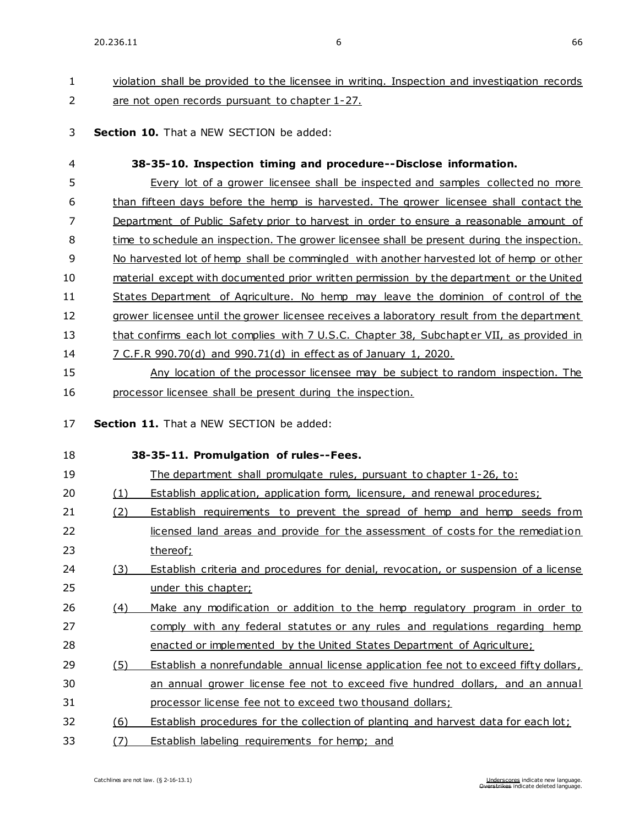# 1 violation shall be provided to the licensee in writing. Inspection and investigation records 2 are not open records pursuant to chapter 1-27.

3 **Section 10.** That a NEW SECTION be added:

| 4        |     | 38-35-10. Inspection timing and procedure--Disclose information.                            |
|----------|-----|---------------------------------------------------------------------------------------------|
| 5        |     | Every lot of a grower licensee shall be inspected and samples collected no more             |
| 6        |     | than fifteen days before the hemp is harvested. The grower licensee shall contact the       |
| 7        |     | Department of Public Safety prior to harvest in order to ensure a reasonable amount of      |
| 8        |     | time to schedule an inspection. The grower licensee shall be present during the inspection. |
| 9        |     | No harvested lot of hemp shall be commingled with another harvested lot of hemp or other    |
| 10       |     | material except with documented prior written permission by the department or the United    |
| 11       |     | States Department of Agriculture. No hemp may leave the dominion of control of the          |
| 12       |     | grower licensee until the grower licensee receives a laboratory result from the department  |
| 13       |     | that confirms each lot complies with 7 U.S.C. Chapter 38, Subchapter VII, as provided in    |
| 14       |     | 7 C.F.R 990.70(d) and 990.71(d) in effect as of January 1, 2020.                            |
| 15       |     | Any location of the processor licensee may be subject to random inspection. The             |
| 16       |     | processor licensee shall be present during the inspection.                                  |
| 17<br>18 |     | Section 11. That a NEW SECTION be added:<br>38-35-11. Promulgation of rules--Fees.          |
| 19       |     | The department shall promulgate rules, pursuant to chapter 1-26, to:                        |
| 20       | (1) | <b>Establish application, application form, licensure, and renewal procedures;</b>          |
| 21       | (2) | Establish requirements to prevent the spread of hemp and hemp seeds from                    |
| 22       |     | licensed land areas and provide for the assessment of costs for the remediation             |
| 23       |     | thereof;                                                                                    |
| 24       | (3) | Establish criteria and procedures for denial, revocation, or suspension of a license        |
| 25       |     | under this chapter;                                                                         |
| 26       | (4) | Make any modification or addition to the hemp regulatory program in order to                |
| 27       |     | comply with any federal statutes or any rules and regulations regarding hemp                |
| 28       |     | enacted or implemented by the United States Department of Agriculture;                      |
| 29       | (5) | Establish a nonrefundable annual license application fee not to exceed fifty dollars,       |
| 30       |     | an annual grower license fee not to exceed five hundred dollars, and an annual              |
| 31       |     | processor license fee not to exceed two thousand dollars;                                   |
| 32       | (6) | Establish procedures for the collection of planting and harvest data for each lot;          |
| 33       | (7) | Establish labeling requirements for hemp; and                                               |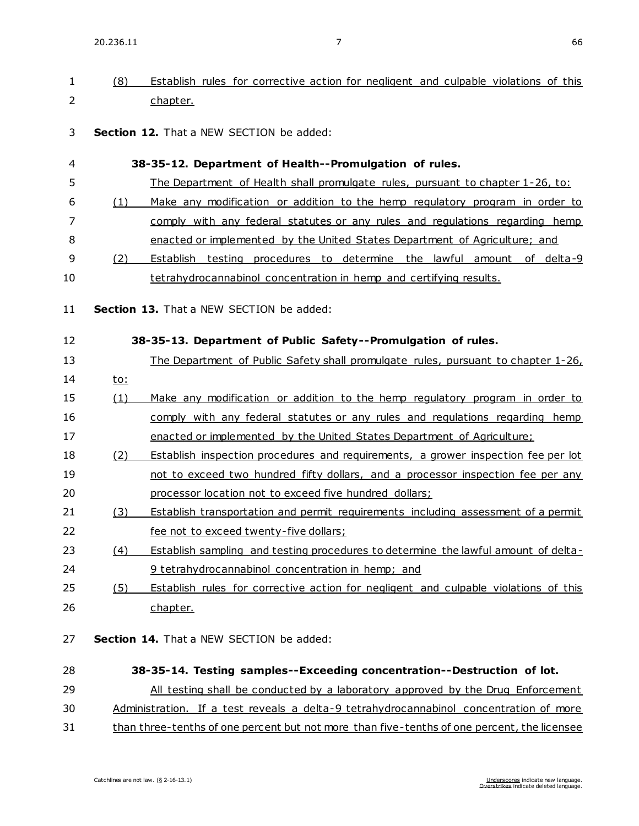| 1              | (8)        | Establish rules for corrective action for negligent and culpable violations of this   |
|----------------|------------|---------------------------------------------------------------------------------------|
| $\overline{2}$ |            | chapter.                                                                              |
| 3              |            | <b>Section 12.</b> That a NEW SECTION be added:                                       |
| 4              |            | 38-35-12. Department of Health--Promulgation of rules.                                |
| 5              |            | <u>The Department of Health shall promulgate rules, pursuant to chapter 1-26, to:</u> |
| 6              | (1)        | Make any modification or addition to the hemp regulatory program in order to          |
| 7              |            | comply with any federal statutes or any rules and regulations regarding hemp          |
| 8              |            | enacted or implemented by the United States Department of Agriculture; and            |
| 9              | (2)        | Establish testing procedures to determine the lawful amount of delta-9                |
| 10             |            | tetrahydrocannabinol concentration in hemp and certifying results.                    |
| 11             |            | <b>Section 13.</b> That a NEW SECTION be added:                                       |
| 12             |            | 38-35-13. Department of Public Safety--Promulgation of rules.                         |
| 13             |            | The Department of Public Safety shall promulgate rules, pursuant to chapter 1-26,     |
| 14             | <u>to:</u> |                                                                                       |
| 15             | (1)        | Make any modification or addition to the hemp regulatory program in order to          |
| 16             |            | comply with any federal statutes or any rules and regulations regarding hemp          |
| 17             |            | enacted or implemented by the United States Department of Agriculture;                |
| 18             | (2)        | Establish inspection procedures and requirements, a grower inspection fee per lot     |
| 19             |            | not to exceed two hundred fifty dollars, and a processor inspection fee per any       |
| 20             |            | processor location not to exceed five hundred dollars;                                |
| 21             | (3)        | Establish transportation and permit requirements including assessment of a permit     |
| 22             |            | fee not to exceed twenty-five dollars;                                                |
| 23             | (4)        | Establish sampling and testing procedures to determine the lawful amount of delta-    |
| 24             |            | 9 tetrahydrocannabinol concentration in hemp; and                                     |
| 25             | (5)        | Establish rules for corrective action for negligent and culpable violations of this   |

- 26 chapter.
- 27 **Section 14.** That a NEW SECTION be added:
- 28 **38-35-14. Testing samples--Exceeding concentration--Destruction of lot.** 29 All testing shall be conducted by a laboratory approved by the Drug Enforcement 30 Administration. If a test reveals a delta-9 tetrahydrocannabinol concentration of more
- 31 than three-tenths of one percent but not more than five-tenths of one percent, the licensee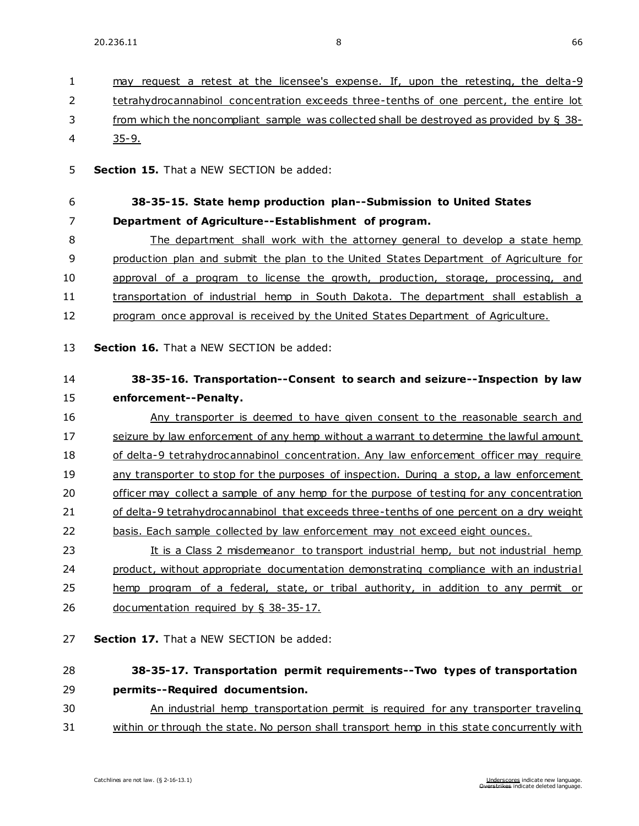| $\mathbf{1}$ | may request a retest at the licensee's expense. If, upon the retesting, the delta-9         |
|--------------|---------------------------------------------------------------------------------------------|
| 2            | tetrahydrocannabinol concentration exceeds three-tenths of one percent, the entire lot      |
| 3            | from which the noncompliant sample was collected shall be destroyed as provided by $\S$ 38- |
| 4            | $35 - 9.$                                                                                   |
| 5            | Section 15. That a NEW SECTION be added:                                                    |
|              |                                                                                             |
| 6            | 38-35-15. State hemp production plan--Submission to United States                           |
| 7            | Department of Agriculture--Establishment of program.                                        |
| 8            | The department shall work with the attorney general to develop a state hemp                 |
| 9            | production plan and submit the plan to the United States Department of Agriculture for      |
| 10           | approval of a program to license the growth, production, storage, processing, and           |
| 11           | transportation of industrial hemp in South Dakota. The department shall establish a         |
| 12           | program once approval is received by the United States Department of Agriculture.           |
| 13           | Section 16. That a NEW SECTION be added:                                                    |
| 14           | 38-35-16. Transportation--Consent to search and seizure--Inspection by law                  |
| 15           | enforcement--Penalty.                                                                       |
| 16           | Any transporter is deemed to have given consent to the reasonable search and                |
| 17           | seizure by law enforcement of any hemp without a warrant to determine the lawful amount     |
| 18           | of delta-9 tetrahydrocannabinol concentration. Any law enforcement officer may require      |
| 19           | any transporter to stop for the purposes of inspection. During a stop, a law enforcement    |
| 20           | officer may collect a sample of any hemp for the purpose of testing for any concentration   |
| 21           | of delta-9 tetrahydrocannabinol that exceeds three-tenths of one percent on a dry weight    |
| 22           | basis. Each sample collected by law enforcement may not exceed eight ounces.                |
| 23           | It is a Class 2 misdemeanor to transport industrial hemp, but not industrial hemp           |
| 24           | product, without appropriate documentation demonstrating compliance with an industrial      |
| 25           | hemp program of a federal, state, or tribal authority, in addition to any permit or         |
| 26           | documentation required by $\S$ 38-35-17.                                                    |
|              |                                                                                             |
| 27           | Section 17. That a NEW SECTION be added:                                                    |
| 28           | 38-35-17. Transportation permit requirements--Two types of transportation                   |
| 29           | permits--Required documentsion.                                                             |
| 30           | An industrial hemp transportation permit is required for any transporter traveling          |
| 31           | within or through the state. No person shall transport hemp in this state concurrently with |
|              |                                                                                             |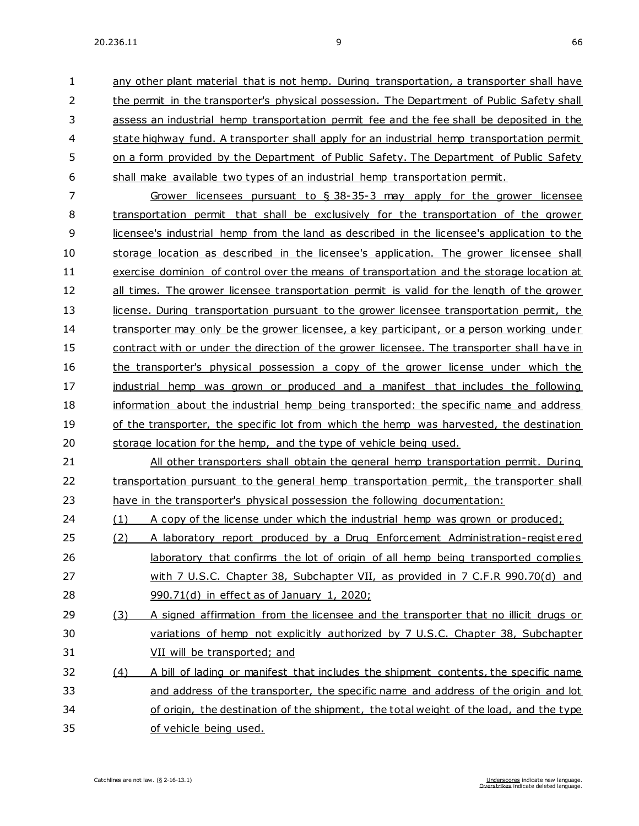any other plant material that is not hemp. During transportation, a transporter shall have the permit in the transporter's physical possession. The Department of Public Safety shall assess an industrial hemp transportation permit fee and the fee shall be deposited in the state highway fund. A transporter shall apply for an industrial hemp transportation permit on a form provided by the Department of Public Safety. The Department of Public Safety shall make available two types of an industrial hemp transportation permit.

 Grower licensees pursuant to § 38-35-3 may apply for the grower licensee transportation permit that shall be exclusively for the transportation of the grower 9 licensee's industrial hemp from the land as described in the licensee's application to the storage location as described in the licensee's application. The grower licensee shall exercise dominion of control over the means of transportation and the storage location at 12 all times. The grower licensee transportation permit is valid for the length of the grower 13 license. During transportation pursuant to the grower licensee transportation permit, the transporter may only be the grower licensee, a key participant, or a person working under contract with or under the direction of the grower licensee. The transporter shall have in 16 the transporter's physical possession a copy of the grower license under which the industrial hemp was grown or produced and a manifest that includes the following information about the industrial hemp being transported: the specific name and address 19 of the transporter, the specific lot from which the hemp was harvested, the destination storage location for the hemp, and the type of vehicle being used.

 All other transporters shall obtain the general hemp transportation permit. During 22 transportation pursuant to the general hemp transportation permit, the transporter shall have in the transporter's physical possession the following documentation:

24 (1) A copy of the license under which the industrial hemp was grown or produced;

- 25 (2) A laboratory report produced by a Drug Enforcement Administration-registered 26 laboratory that confirms the lot of origin of all hemp being transported complies with 7 U.S.C. Chapter 38, Subchapter VII, as provided in 7 C.F.R 990.70(d) and 990.71(d) in effect as of January 1, 2020;
- (3) A signed affirmation from the licensee and the transporter that no illicit drugs or variations of hemp not explicitly authorized by 7 U.S.C. Chapter 38, Subchapter VII will be transported; and
- (4) A bill of lading or manifest that includes the shipment contents, the specific name 33 and address of the transporter, the specific name and address of the origin and lot of origin, the destination of the shipment, the total weight of the load, and the type of vehicle being used.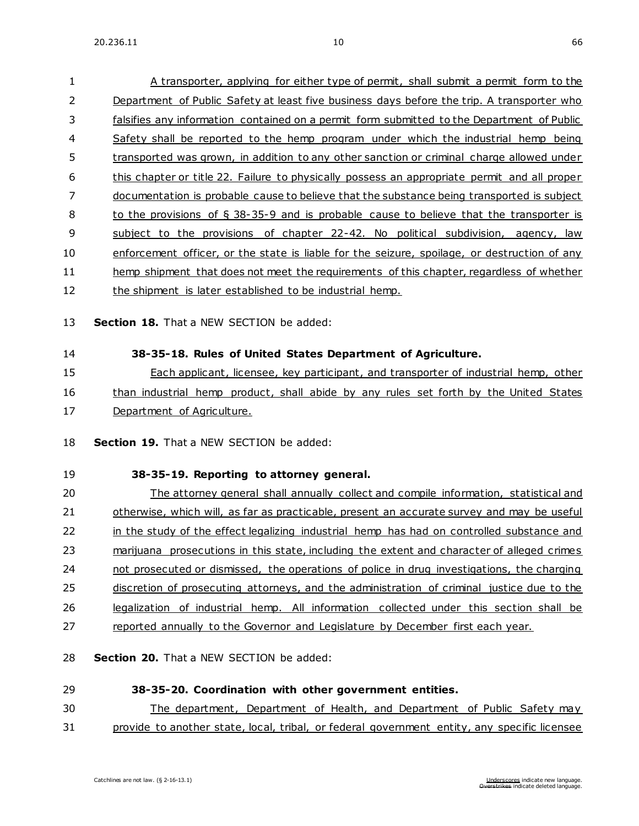| 1  | A transporter, applying for either type of permit, shall submit a permit form to the         |
|----|----------------------------------------------------------------------------------------------|
| 2  | Department of Public Safety at least five business days before the trip. A transporter who   |
| 3  | falsifies any information contained on a permit form submitted to the Department of Public   |
| 4  | Safety shall be reported to the hemp program under which the industrial hemp being           |
| 5  | transported was grown, in addition to any other sanction or criminal charge allowed under    |
| 6  | this chapter or title 22. Failure to physically possess an appropriate permit and all proper |
| 7  | documentation is probable cause to believe that the substance being transported is subject   |
| 8  | to the provisions of $\S$ 38-35-9 and is probable cause to believe that the transporter is   |
| 9  | subject to the provisions of chapter 22-42. No political subdivision, agency, law            |
| 10 | enforcement officer, or the state is liable for the seizure, spoilage, or destruction of any |
| 11 | hemp shipment that does not meet the requirements of this chapter, regardless of whether     |
| 12 | the shipment is later established to be industrial hemp.                                     |
|    |                                                                                              |

- 13 **Section 18.** That a NEW SECTION be added:
- 

#### 14 **38-35-18. Rules of United States Department of Agriculture.**

15 Each applicant, licensee, key participant, and transporter of industrial hemp, other 16 than industrial hemp product, shall abide by any rules set forth by the United States 17 Department of Agriculture.

18 **Section 19.** That a NEW SECTION be added:

### 19 **38-35-19. Reporting to attorney general.**

20 The attorney general shall annually collect and compile information, statistical and 21 otherwise, which will, as far as practicable, present an accurate survey and may be useful 22 in the study of the effect legalizing industrial hemp has had on controlled substance and 23 marijuana prosecutions in this state, including the extent and character of alleged crimes 24 not prosecuted or dismissed, the operations of police in drug investigations, the charging 25 discretion of prosecuting attorneys, and the administration of criminal justice due to the 26 legalization of industrial hemp. All information collected under this section shall be 27 reported annually to the Governor and Legislature by December first each year.

28 **Section 20.** That a NEW SECTION be added:

### 29 **38-35-20. Coordination with other government entities.**

30 The department, Department of Health, and Department of Public Safety may

31 provide to another state, local, tribal, or federal government entity, any specific licensee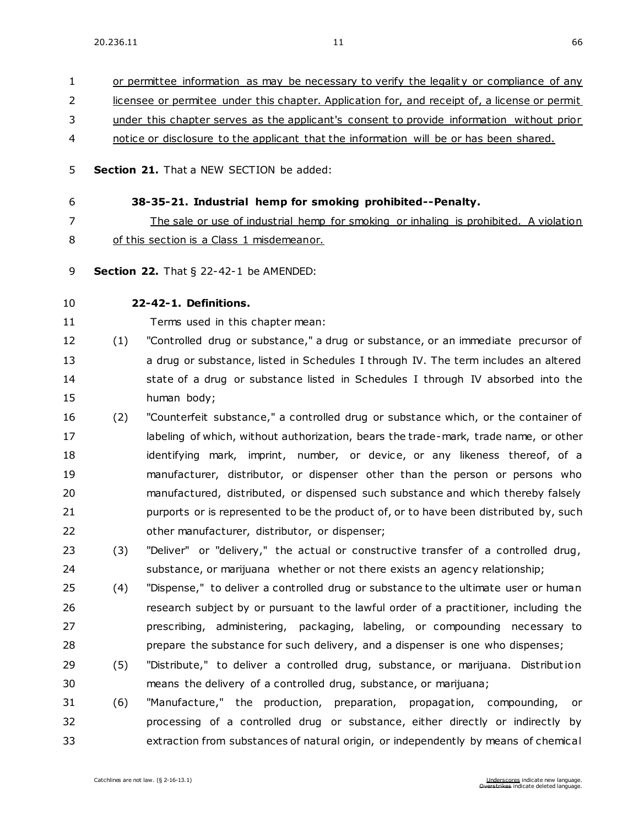1 or permittee information as may be necessary to verify the legality or compliance of any

 licensee or permitee under this chapter. Application for, and receipt of, a license or permit under this chapter serves as the applicant's consent to provide information without prior notice or disclosure to the applicant that the information will be or has been shared. **Section 21.** That a NEW SECTION be added: **38-35-21. Industrial hemp for smoking prohibited--Penalty.** The sale or use of industrial hemp for smoking or inhaling is prohibited. A violation of this section is a Class 1 misdemeanor. **Section 22.** [That § 22-42-1 be AMENDED:](https://sdlegislature.gov/Statutes/Codified_Laws/DisplayStatute.aspx?Type=Statute&Statute=22-42-1) **[22-42-1. D](https://sdlegislature.gov/Statutes/Codified_Laws/DisplayStatute.aspx?Type=Statute&Statute=22-42-1)efinitions.**  Terms used in this chapter mean: (1) "Controlled drug or substance," a drug or substance, or an immediate precursor of a drug or substance, listed in Schedules I through IV. The term includes an altered 14 state of a drug or substance listed in Schedules I through IV absorbed into the human body; (2) "Counterfeit substance," a controlled drug or substance which, or the container of 17 labeling of which, without authorization, bears the trade-mark, trade name, or other identifying mark, imprint, number, or device, or any likeness thereof, of a manufacturer, distributor, or dispenser other than the person or persons who manufactured, distributed, or dispensed such substance and which thereby falsely 21 purports or is represented to be the product of, or to have been distributed by, such other manufacturer, distributor, or dispenser; (3) "Deliver" or "delivery," the actual or constructive transfer of a controlled drug, substance, or marijuana whether or not there exists an agency relationship; (4) "Dispense," to deliver a controlled drug or substance to the ultimate user or human research subject by or pursuant to the lawful order of a practitioner, including the prescribing, administering, packaging, labeling, or compounding necessary to 28 prepare the substance for such delivery, and a dispenser is one who dispenses; 29 (5) "Distribute," to deliver a controlled drug, substance, or marijuana. Distribution means the delivery of a controlled drug, substance, or marijuana; (6) "Manufacture," the production, preparation, propagation, compounding, or processing of a controlled drug or substance, either directly or indirectly by extraction from substances of natural origin, or independently by means of chemical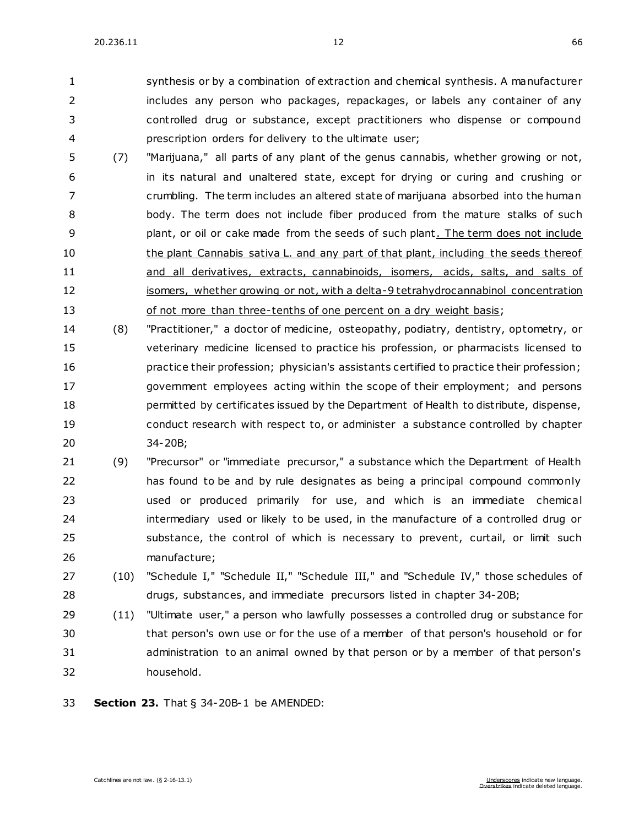synthesis or by a combination of extraction and chemical synthesis. A manufacturer includes any person who packages, repackages, or labels any container of any controlled drug or substance, except practitioners who dispense or compound prescription orders for delivery to the ultimate user;

- (7) "Marijuana," all parts of any plant of the genus cannabis, whether growing or not, in its natural and unaltered state, except for drying or curing and crushing or crumbling. The term includes an altered state of marijuana absorbed into the human body. The term does not include fiber produced from the mature stalks of such **plant, or oil or cake made from the seeds of such plant.** The term does not include 10 the plant Cannabis sativa L. and any part of that plant, including the seeds thereof and all derivatives, extracts, cannabinoids, isomers, acids, salts, and salts of 12 isomers, whether growing or not, with a delta-9 tetrahydrocannabinol concentration 13 of not more than three-tenths of one percent on a dry weight basis;
- (8) "Practitioner," a doctor of medicine, osteopathy, podiatry, dentistry, optometry, or veterinary medicine licensed to practice his profession, or pharmacists licensed to practice their profession; physician's assistants certified to practice their profession; government employees acting within the scope of their employment; and persons permitted by certificates issued by the Department of Health to distribute, dispense, conduct research with respect to, or administer a substance controlled by chapter [34-20B;](https://sdlegislature.gov/Statutes/Codified_Laws/DisplayStatute.aspx?Type=Statute&Statute=34-20B)
- (9) "Precursor" or "immediate precursor," a substance which the Department of Health has found to be and by rule designates as being a principal compound commonly used or produced primarily for use, and which is an immediate chemical intermediary used or likely to be used, in the manufacture of a controlled drug or substance, the control of which is necessary to prevent, curtail, or limit such manufacture;
- (10) "Schedule I," "Schedule II," "Schedule III," and "Schedule IV," those schedules of drugs, substances, and immediate precursors listed in chapter [34-20B;](https://sdlegislature.gov/Statutes/Codified_Laws/DisplayStatute.aspx?Type=Statute&Statute=34-20B)
- (11) "Ultimate user," a person who lawfully possesses a controlled drug or substance for that person's own use or for the use of a member of that person's household or for administration to an animal owned by that person or by a member of that person's household.
- **Section 23.** [That § 34-20B-1 be AMENDED:](https://sdlegislature.gov/Statutes/Codified_Laws/DisplayStatute.aspx?Type=Statute&Statute=34-20B-1)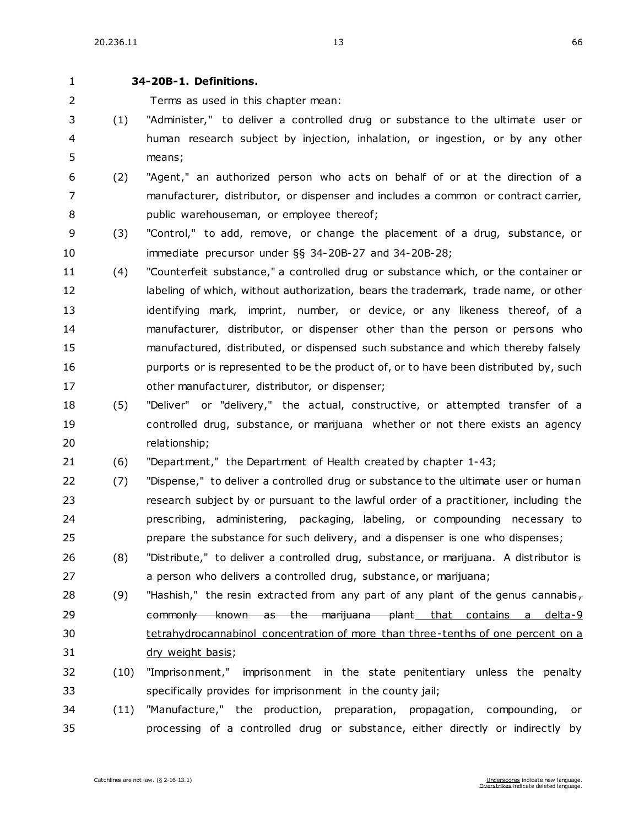#### **[34-20B-1. D](https://sdlegislature.gov/Statutes/Codified_Laws/DisplayStatute.aspx?Type=Statute&Statute=34-20B-1)efinitions.**

Terms as used in this chapter mean:

- (1) "Administer," to deliver a controlled drug or substance to the ultimate user or human research subject by injection, inhalation, or ingestion, or by any other means;
- (2) "Agent," an authorized person who acts on behalf of or at the direction of a manufacturer, distributor, or dispenser and includes a common or contract carrier, public warehouseman, or employee thereof;
- (3) "Control," to add, remove, or change the placement of a drug, substance, or immediate precursor under §§ [34-20B-27](https://sdlegislature.gov/Statutes/Codified_Laws/DisplayStatute.aspx?Type=Statute&Statute=34-20B-27) and [34-20B-28;](https://sdlegislature.gov/Statutes/Codified_Laws/DisplayStatute.aspx?Type=Statute&Statute=34-20B-28)
- (4) "Counterfeit substance," a controlled drug or substance which, or the container or 12 labeling of which, without authorization, bears the trademark, trade name, or other 13 identifying mark, imprint, number, or device, or any likeness thereof, of a manufacturer, distributor, or dispenser other than the person or persons who manufactured, distributed, or dispensed such substance and which thereby falsely **purports or is represented to be the product of, or to have been distributed by, such** other manufacturer, distributor, or dispenser;
- (5) "Deliver" or "delivery," the actual, constructive, or attempted transfer of a controlled drug, substance, or marijuana whether or not there exists an agency relationship;
- (6) "Department," the Department of Health created by chapter [1-43;](https://sdlegislature.gov/Statutes/Codified_Laws/DisplayStatute.aspx?Type=Statute&Statute=1-43)
- (7) "Dispense," to deliver a controlled drug or substance to the ultimate user or human research subject by or pursuant to the lawful order of a practitioner, including the prescribing, administering, packaging, labeling, or compounding necessary to prepare the substance for such delivery, and a dispenser is one who dispenses;
- (8) "Distribute," to deliver a controlled drug, substance, or marijuana. A distributor is a person who delivers a controlled drug, substance, or marijuana;
- 28 (9) "Hashish," the resin extracted from any part of any plant of the genus cannabis<sub>7</sub> 29 commonly known as the marijuana plant that contains a delta-9 tetrahydrocannabinol concentration of more than three-tenths of one percent on a dry weight basis;
- (10) "Imprisonment," imprisonment in the state penitentiary unless the penalty specifically provides for imprisonment in the county jail;
- (11) "Manufacture," the production, preparation, propagation, compounding, or processing of a controlled drug or substance, either directly or indirectly by

Catchlines are not law. (§ [2-16-13.1\)](https://sdlegislature.gov/Statutes/Codified_Laws/DisplayStatute.aspx?Type=Statute&Statute=2-16-13.1) Underscores indicate new language.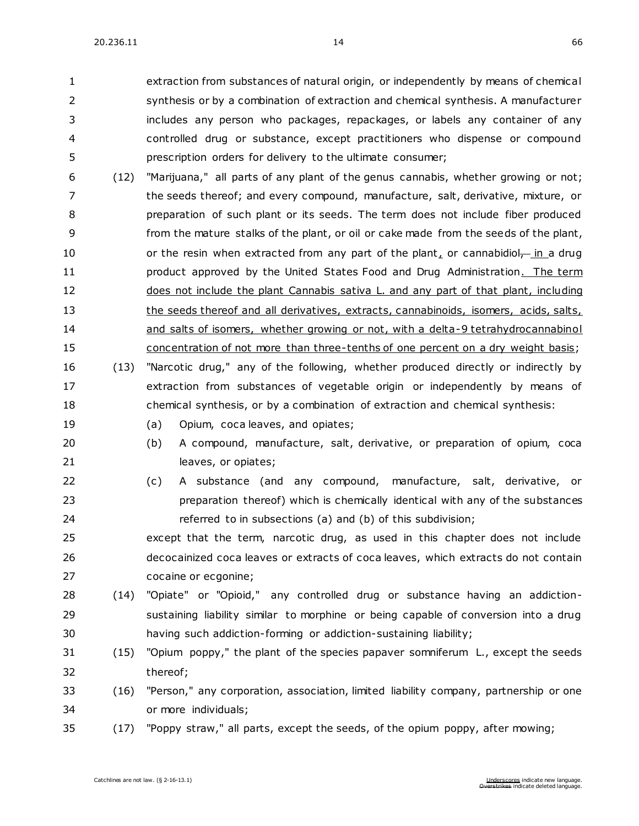extraction from substances of natural origin, or independently by means of chemical synthesis or by a combination of extraction and chemical synthesis. A manufacturer includes any person who packages, repackages, or labels any container of any controlled drug or substance, except practitioners who dispense or compound prescription orders for delivery to the ultimate consumer;

- (12) "Marijuana," all parts of any plant of the genus cannabis, whether growing or not; the seeds thereof; and every compound, manufacture, salt, derivative, mixture, or preparation of such plant or its seeds. The term does not include fiber produced from the mature stalks of the plant, or oil or cake made from the seeds of the plant, 10 or the resin when extracted from any part of the plant, or cannabidiol-in a drug **product approved by the United States Food and Drug Administration.** The term 12 does not include the plant Cannabis sativa L. and any part of that plant, including 13 the seeds thereof and all derivatives, extracts, cannabinoids, isomers, acids, salts, and salts of isomers, whether growing or not, with a delta-9 tetrahydrocannabinol concentration of not more than three-tenths of one percent on a dry weight basis;
- (13) "Narcotic drug," any of the following, whether produced directly or indirectly by extraction from substances of vegetable origin or independently by means of chemical synthesis, or by a combination of extraction and chemical synthesis:
- 
- 19 (a) Opium, coca leaves, and opiates;
- (b) A compound, manufacture, salt, derivative, or preparation of opium, coca 21 leaves, or opiates;
- (c) A substance (and any compound, manufacture, salt, derivative, or preparation thereof) which is chemically identical with any of the substances referred to in subsections (a) and (b) of this subdivision;
- except that the term, narcotic drug, as used in this chapter does not include decocainized coca leaves or extracts of coca leaves, which extracts do not contain cocaine or ecgonine;
- (14) "Opiate" or "Opioid," any controlled drug or substance having an addiction- sustaining liability similar to morphine or being capable of conversion into a drug having such addiction-forming or addiction-sustaining liability;
- (15) "Opium poppy," the plant of the species papaver somniferum L., except the seeds thereof;
- (16) "Person," any corporation, association, limited liability company, partnership or one or more individuals;
- (17) "Poppy straw," all parts, except the seeds, of the opium poppy, after mowing;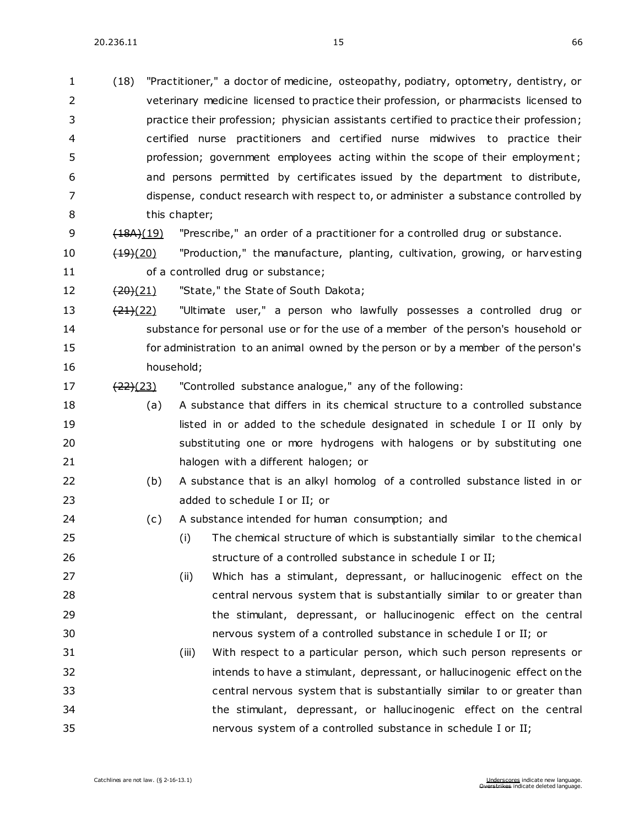| $\mathbf{1}$   | (18)                 | "Practitioner," a doctor of medicine, osteopathy, podiatry, optometry, dentistry, or    |
|----------------|----------------------|-----------------------------------------------------------------------------------------|
| $\overline{2}$ |                      | veterinary medicine licensed to practice their profession, or pharmacists licensed to   |
| 3              |                      | practice their profession; physician assistants certified to practice their profession; |
| 4              |                      | certified nurse practitioners and certified nurse midwives to practice their            |
| 5              |                      | profession; government employees acting within the scope of their employment;           |
| 6              |                      | and persons permitted by certificates issued by the department to distribute,           |
| 7              |                      | dispense, conduct research with respect to, or administer a substance controlled by     |
| 8              |                      | this chapter;                                                                           |
| 9              | (18A)(19)            | "Prescribe," an order of a practitioner for a controlled drug or substance.             |
| 10             | $\frac{(19)(20)}{2}$ | "Production," the manufacture, planting, cultivation, growing, or harvesting            |
| 11             |                      | of a controlled drug or substance;                                                      |
| 12             | <del>(20)</del> (21) | "State," the State of South Dakota;                                                     |
| 13             | $\frac{(21)(22)}{2}$ | "Ultimate user," a person who lawfully possesses a controlled drug or                   |
| 14             |                      | substance for personal use or for the use of a member of the person's household or      |
| 15             |                      | for administration to an animal owned by the person or by a member of the person's      |
| 16             |                      | household;                                                                              |
| 17             | $\frac{(22)(23)}{2}$ | "Controlled substance analogue," any of the following:                                  |
| 18             | (a)                  | A substance that differs in its chemical structure to a controlled substance            |
| 19             |                      | listed in or added to the schedule designated in schedule I or II only by               |
| 20             |                      | substituting one or more hydrogens with halogens or by substituting one                 |
| 21             |                      | halogen with a different halogen; or                                                    |
| 22             | (b)                  | A substance that is an alkyl homolog of a controlled substance listed in or             |
| 23             |                      | added to schedule I or II; or                                                           |
| 24             | (c)                  | A substance intended for human consumption; and                                         |
| 25             |                      | The chemical structure of which is substantially similar to the chemical<br>(i)         |
| 26             |                      | structure of a controlled substance in schedule I or II;                                |
| 27             |                      | Which has a stimulant, depressant, or hallucinogenic effect on the<br>(ii)              |
| 28             |                      | central nervous system that is substantially similar to or greater than                 |
| 29             |                      | the stimulant, depressant, or hallucinogenic effect on the central                      |
| 30             |                      | nervous system of a controlled substance in schedule I or II; or                        |
| 31             |                      | With respect to a particular person, which such person represents or<br>(iii)           |
| 32             |                      | intends to have a stimulant, depressant, or hallucinogenic effect on the                |
| 33             |                      | central nervous system that is substantially similar to or greater than                 |
| 34             |                      | the stimulant, depressant, or hallucinogenic effect on the central                      |
| 35             |                      | nervous system of a controlled substance in schedule I or II;                           |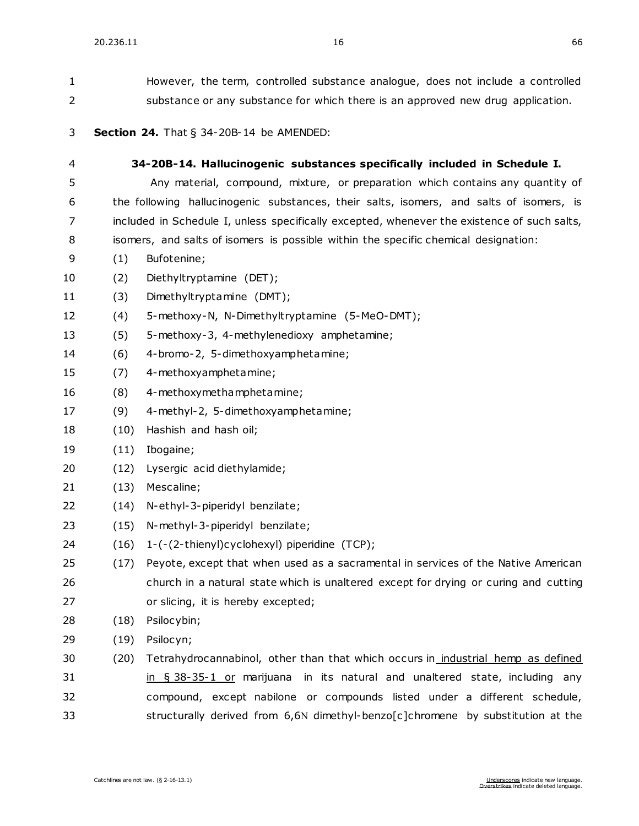| 1  |                                                                                 | However, the term, controlled substance analogue, does not include a controlled             |  |
|----|---------------------------------------------------------------------------------|---------------------------------------------------------------------------------------------|--|
| 2  | substance or any substance for which there is an approved new drug application. |                                                                                             |  |
| 3  |                                                                                 | Section 24. That § 34-20B-14 be AMENDED:                                                    |  |
| 4  |                                                                                 | 34-20B-14. Hallucinogenic substances specifically included in Schedule I.                   |  |
| 5  |                                                                                 | Any material, compound, mixture, or preparation which contains any quantity of              |  |
| 6  |                                                                                 | the following hallucinogenic substances, their salts, isomers, and salts of isomers, is     |  |
| 7  |                                                                                 | included in Schedule I, unless specifically excepted, whenever the existence of such salts, |  |
| 8  |                                                                                 | isomers, and salts of isomers is possible within the specific chemical designation:         |  |
| 9  | (1)                                                                             | Bufotenine;                                                                                 |  |
| 10 | (2)                                                                             | Diethyltryptamine (DET);                                                                    |  |
| 11 | (3)                                                                             | Dimethyltryptamine (DMT);                                                                   |  |
| 12 | (4)                                                                             | 5-methoxy-N, N-Dimethyltryptamine (5-MeO-DMT);                                              |  |
| 13 | (5)                                                                             | 5-methoxy-3, 4-methylenedioxy amphetamine;                                                  |  |
| 14 | (6)                                                                             | 4-bromo-2, 5-dimethoxyamphetamine;                                                          |  |
| 15 | (7)                                                                             | 4-methoxyamphetamine;                                                                       |  |
| 16 | (8)                                                                             | 4-methoxymethamphetamine;                                                                   |  |
| 17 | (9)                                                                             | 4-methyl-2, 5-dimethoxyamphetamine;                                                         |  |
| 18 | (10)                                                                            | Hashish and hash oil;                                                                       |  |
| 19 | (11)                                                                            | Ibogaine;                                                                                   |  |
| 20 | (12)                                                                            | Lysergic acid diethylamide;                                                                 |  |
| 21 | (13)                                                                            | Mescaline;                                                                                  |  |
| 22 | (14)                                                                            | N-ethyl-3-piperidyl benzilate;                                                              |  |
| 23 | (15)                                                                            | N-methyl-3-piperidyl benzilate;                                                             |  |
| 24 |                                                                                 | (16) 1-(-(2-thienyl)cyclohexyl) piperidine (TCP);                                           |  |
| 25 | (17)                                                                            | Peyote, except that when used as a sacramental in services of the Native American           |  |
| 26 |                                                                                 | church in a natural state which is unaltered except for drying or curing and cutting        |  |
| 27 |                                                                                 | or slicing, it is hereby excepted;                                                          |  |
| 28 | (18)                                                                            | Psilocybin;                                                                                 |  |
| 29 | (19)                                                                            | Psilocyn;                                                                                   |  |
| 30 | (20)                                                                            | Tetrahydrocannabinol, other than that which occurs in industrial hemp as defined            |  |
| 31 |                                                                                 | in § 38-35-1 or marijuana in its natural and unaltered state, including any                 |  |
| 32 |                                                                                 | compound, except nabilone or compounds listed under a different schedule,                   |  |

33 structurally derived from 6,6N dimethyl-benzo[c]chromene by substitution at the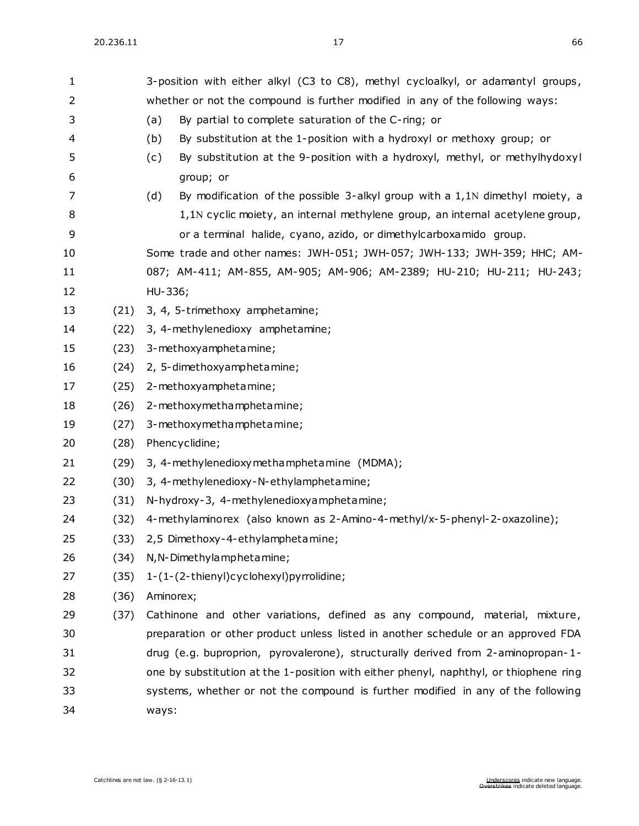| 1  |      | 3-position with either alkyl (C3 to C8), methyl cycloalkyl, or adamantyl groups,      |  |  |  |
|----|------|---------------------------------------------------------------------------------------|--|--|--|
| 2  |      | whether or not the compound is further modified in any of the following ways:         |  |  |  |
| 3  |      | By partial to complete saturation of the C-ring; or<br>(a)                            |  |  |  |
| 4  |      | (b)<br>By substitution at the 1-position with a hydroxyl or methoxy group; or         |  |  |  |
| 5  |      | By substitution at the 9-position with a hydroxyl, methyl, or methylhydoxyl<br>(c)    |  |  |  |
| 6  |      | group; or                                                                             |  |  |  |
| 7  |      | By modification of the possible 3-alkyl group with a 1,1N dimethyl moiety, a<br>(d)   |  |  |  |
| 8  |      | 1,1N cyclic moiety, an internal methylene group, an internal acetylene group,         |  |  |  |
| 9  |      | or a terminal halide, cyano, azido, or dimethylcarboxamido group.                     |  |  |  |
| 10 |      | Some trade and other names: JWH-051; JWH-057; JWH-133; JWH-359; HHC; AM-              |  |  |  |
| 11 |      | 087; AM-411; AM-855, AM-905; AM-906; AM-2389; HU-210; HU-211; HU-243;                 |  |  |  |
| 12 |      | HU-336;                                                                               |  |  |  |
| 13 | (21) | 3, 4, 5-trimethoxy amphetamine;                                                       |  |  |  |
| 14 | (22) | 3, 4-methylenedioxy amphetamine;                                                      |  |  |  |
| 15 | (23) | 3-methoxyamphetamine;                                                                 |  |  |  |
| 16 | (24) | 2, 5-dimethoxyamphetamine;                                                            |  |  |  |
| 17 | (25) | 2-methoxyamphetamine;                                                                 |  |  |  |
| 18 | (26) | 2-methoxymethamphetamine;                                                             |  |  |  |
| 19 | (27) | 3-methoxymethamphetamine;                                                             |  |  |  |
| 20 | (28) | Phencyclidine;                                                                        |  |  |  |
| 21 | (29) | 3, 4-methylenedioxymethamphetamine (MDMA);                                            |  |  |  |
| 22 | (30) | 3, 4-methylenedioxy-N-ethylamphetamine;                                               |  |  |  |
| 23 | (31) | N-hydroxy-3, 4-methylenedioxyamphetamine;                                             |  |  |  |
| 24 | (32) | 4-methylaminorex (also known as 2-Amino-4-methyl/x-5-phenyl-2-oxazoline);             |  |  |  |
| 25 |      | (33) 2,5 Dimethoxy-4-ethylamphetamine;                                                |  |  |  |
| 26 | (34) | N, N-Dimethylamphetamine;                                                             |  |  |  |
| 27 | (35) | 1-(1-(2-thienyl)cyclohexyl)pyrrolidine;                                               |  |  |  |
| 28 | (36) | Aminorex;                                                                             |  |  |  |
| 29 | (37) | Cathinone and other variations, defined as any compound, material, mixture,           |  |  |  |
| 30 |      | preparation or other product unless listed in another schedule or an approved FDA     |  |  |  |
| 31 |      | drug (e.g. buproprion, pyrovalerone), structurally derived from 2-aminopropan-1-      |  |  |  |
| 32 |      | one by substitution at the 1-position with either phenyl, naphthyl, or thiophene ring |  |  |  |
| 33 |      | systems, whether or not the compound is further modified in any of the following      |  |  |  |
| 34 |      | ways:                                                                                 |  |  |  |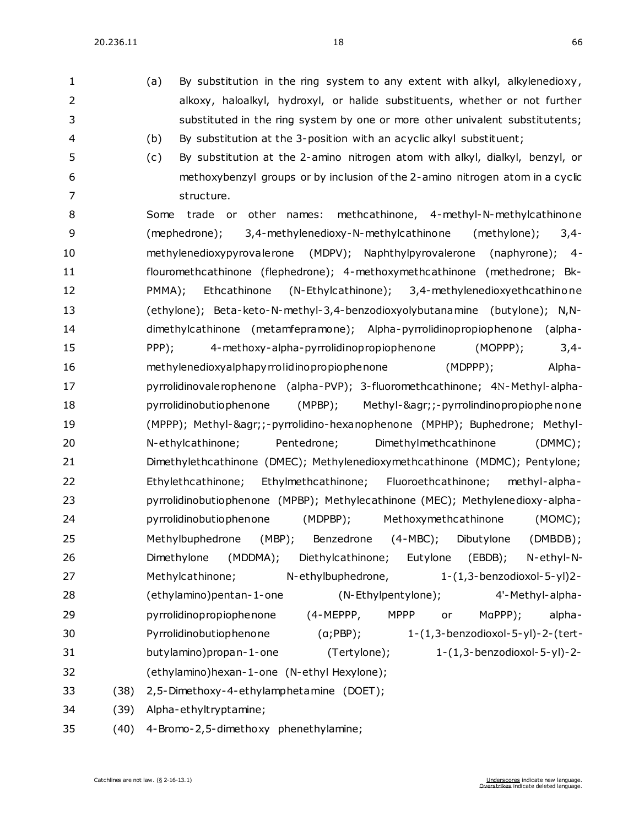1 (a) By substitution in the ring system to any extent with alkyl, alkylenedioxy, alkoxy, haloalkyl, hydroxyl, or halide substituents, whether or not further substituted in the ring system by one or more other univalent substitutents;

 (b) By substitution at the 3-position with an acyclic alkyl substituent; (c) By substitution at the 2-amino nitrogen atom with alkyl, dialkyl, benzyl, or methoxybenzyl groups or by inclusion of the 2-amino nitrogen atom in a cyclic 7 structure. Some trade or other names: methcathinone, 4-methyl-N-methylcathinone (mephedrone); 3,4-methylenedioxy-N-methylcathinone (methylone); 3,4- methylenedioxypyrovalerone (MDPV); Naphthylpyrovalerone (naphyrone); 4- flouromethcathinone (flephedrone); 4-methoxymethcathinone (methedrone; Bk- PMMA); Ethcathinone (N-Ethylcathinone); 3,4-methylenedioxyethcathinone (ethylone); Beta-keto-N-methyl-3,4-benzodioxyolybutanamine (butylone); N,N- dimethylcathinone (metamfepramone); Alpha-pyrrolidinopropiophenone (alpha- PPP); 4-methoxy-alpha-pyrrolidinopropiophenone (MOPPP); 3,4- methylenedioxyalphapyrrolidinopropiophenone (MDPPP); Alpha-17 pyrrolidinovalerophenone (alpha-PVP); 3-fluoromethcathinone; 4N-Methyl-alpha- pyrrolidinobutiophenone (MPBP); Methyl-&agr;;-pyrrolindinopropiophe none (MPPP); Methyl-&agr;;-pyrrolidino-hexanophenone (MPHP); Buphedrone; Methyl- N-ethylcathinone; Pentedrone; Dimethylmethcathinone (DMMC); Dimethylethcathinone (DMEC); Methylenedioxymethcathinone (MDMC); Pentylone; Ethylethcathinone; Ethylmethcathinone; Fluoroethcathinone; methyl-alpha- pyrrolidinobutiophenone (MPBP); Methylecathinone (MEC); Methylenedioxy-alpha- pyrrolidinobutiophenone (MDPBP); Methoxymethcathinone (MOMC); Methylbuphedrone (MBP); Benzedrone (4-MBC); Dibutylone (DMBDB); Dimethylone (MDDMA); Diethylcathinone; Eutylone (EBDB); N-ethyl-N- Methylcathinone; N-ethylbuphedrone, 1-(1,3-benzodioxol-5-yl)2- (ethylamino)pentan-1-one (N-Ethylpentylone); 4'-Methyl-alpha- pyrrolidinopropiophenone (4-MEPPP, MPPP or MαPPP); alpha- Pyrrolidinobutiophenone (α;PBP); 1-(1,3-benzodioxol-5-yl)-2-(tert- butylamino)propan-1-one (Tertylone); 1-(1,3-benzodioxol-5-yl)-2- (ethylamino)hexan-1-one (N-ethyl Hexylone); (38) 2,5-Dimethoxy-4-ethylamphetamine (DOET); (39) Alpha-ethyltryptamine; (40) 4-Bromo-2,5-dimethoxy phenethylamine;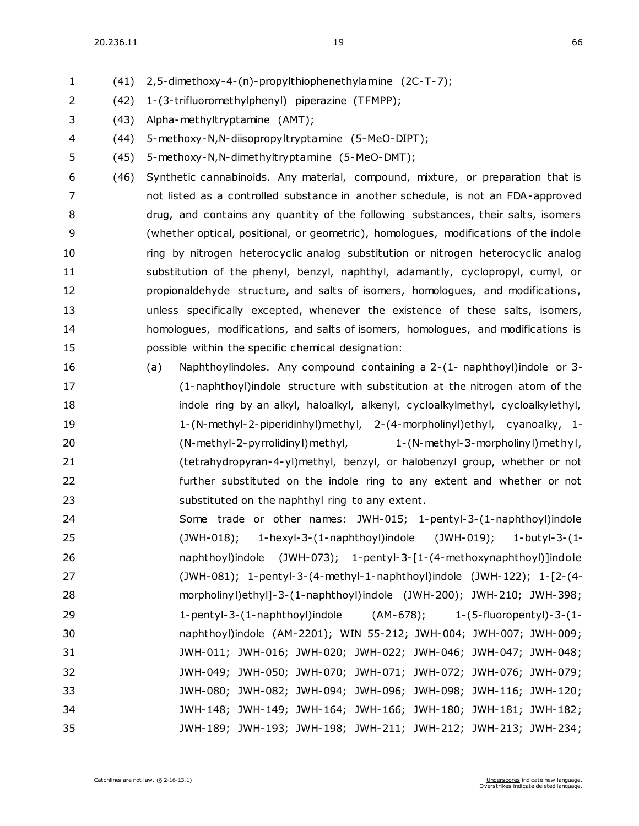(41) 2,5-dimethoxy-4-(n)-propylthiophenethylamine (2C-T-7);

- (42) 1-(3-trifluoromethylphenyl) piperazine (TFMPP);
- (43) Alpha-methyltryptamine (AMT);
- (44) 5-methoxy-N,N-diisopropyltryptamine (5-MeO-DIPT);
- (45) 5-methoxy-N,N-dimethyltryptamine (5-MeO-DMT);
- (46) Synthetic cannabinoids. Any material, compound, mixture, or preparation that is not listed as a controlled substance in another schedule, is not an FDA-approved drug, and contains any quantity of the following substances, their salts, isomers (whether optical, positional, or geometric), homologues, modifications of the indole ring by nitrogen heterocyclic analog substitution or nitrogen heterocyclic analog substitution of the phenyl, benzyl, naphthyl, adamantly, cyclopropyl, cumyl, or propionaldehyde structure, and salts of isomers, homologues, and modifications , unless specifically excepted, whenever the existence of these salts, isomers, homologues, modifications, and salts of isomers, homologues, and modifications is possible within the specific chemical designation:
- (a) Naphthoylindoles. Any compound containing a 2-(1- naphthoyl)indole or 3- (1-naphthoyl)indole structure with substitution at the nitrogen atom of the 18 indole ring by an alkyl, haloalkyl, alkenyl, cycloalkylmethyl, cycloalkylethyl, 1-(N-methyl-2-piperidinhyl)methyl, 2-(4-morpholinyl)ethyl, cyanoalky, 1- (N-methyl-2-pyrrolidinyl)methyl, 1-(N-methyl-3-morpholinyl)met hyl, (tetrahydropyran-4-yl)methyl, benzyl, or halobenzyl group, whether or not further substituted on the indole ring to any extent and whether or not substituted on the naphthyl ring to any extent.
- Some trade or other names: JWH-015; 1-pentyl-3-(1-naphthoyl)indole (JWH-018); 1-hexyl-3-(1-naphthoyl)indole (JWH-019); 1-butyl-3-(1- naphthoyl)indole (JWH-073); 1-pentyl-3-[1-(4-methoxynaphthoyl)]indole (JWH-081); 1-pentyl-3-(4-methyl-1-naphthoyl)indole (JWH-122); 1-[2-(4- morpholinyl)ethyl]-3-(1-naphthoyl)indole (JWH-200); JWH-210; JWH-398; 1-pentyl-3-(1-naphthoyl)indole (AM-678); 1-(5-fluoropentyl)-3-(1- naphthoyl)indole (AM-2201); WIN 55-212; JWH-004; JWH-007; JWH-009; JWH-011; JWH-016; JWH-020; JWH-022; JWH-046; JWH-047; JWH-048; JWH-049; JWH-050; JWH-070; JWH-071; JWH-072; JWH-076; JWH-079; JWH-080; JWH-082; JWH-094; JWH-096; JWH-098; JWH-116; JWH-120; JWH-148; JWH-149; JWH-164; JWH-166; JWH-180; JWH-181; JWH-182; JWH-189; JWH-193; JWH-198; JWH-211; JWH-212; JWH-213; JWH-234;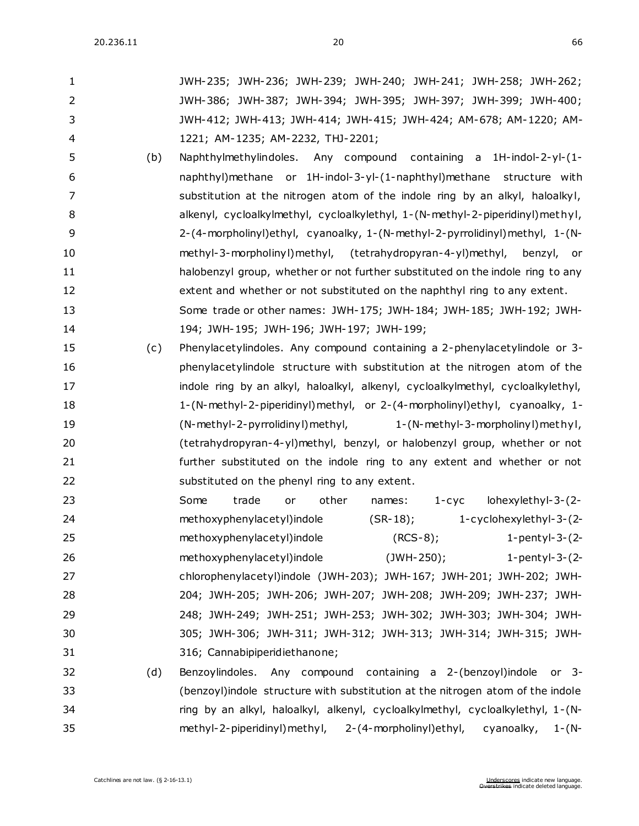| 1  |     | JWH-235; JWH-236; JWH-239; JWH-240; JWH-241; JWH-258; JWH-262;                  |
|----|-----|---------------------------------------------------------------------------------|
| 2  |     | JWH-386; JWH-387; JWH-394; JWH-395; JWH-397; JWH-399; JWH-400;                  |
| 3  |     | JWH-412; JWH-413; JWH-414; JWH-415; JWH-424; AM-678; AM-1220; AM-               |
| 4  |     | 1221; AM-1235; AM-2232, THJ-2201;                                               |
| 5  | (b) | Naphthylmethylindoles. Any compound containing a 1H-indol-2-yl-(1-              |
| 6  |     | naphthyl)methane or 1H-indol-3-yl-(1-naphthyl)methane structure with            |
| 7  |     | substitution at the nitrogen atom of the indole ring by an alkyl, haloalkyl,    |
| 8  |     | alkenyl, cycloalkylmethyl, cycloalkylethyl, 1-(N-methyl-2-piperidinyl) methyl,  |
| 9  |     | 2-(4-morpholinyl)ethyl, cyanoalky, 1-(N-methyl-2-pyrrolidinyl)methyl, 1-(N-     |
| 10 |     | methyl-3-morpholinyl) methyl, (tetrahydropyran-4-yl) methyl,<br>benzyl, or      |
| 11 |     | halobenzyl group, whether or not further substituted on the indole ring to any  |
| 12 |     | extent and whether or not substituted on the naphthyl ring to any extent.       |
| 13 |     | Some trade or other names: JWH-175; JWH-184; JWH-185; JWH-192; JWH-             |
| 14 |     | 194; JWH-195; JWH-196; JWH-197; JWH-199;                                        |
| 15 | (c) | Phenylacetylindoles. Any compound containing a 2-phenylacetylindole or 3-       |
| 16 |     | phenylacetylindole structure with substitution at the nitrogen atom of the      |
| 17 |     | indole ring by an alkyl, haloalkyl, alkenyl, cycloalkylmethyl, cycloalkylethyl, |
| 18 |     | 1-(N-methyl-2-piperidinyl)methyl, or 2-(4-morpholinyl)ethyl, cyanoalky, 1-      |
| 19 |     | (N-methyl-2-pyrrolidinyl) methyl,<br>1-(N-methyl-3-morpholinyl) methyl,         |
| 20 |     | (tetrahydropyran-4-yl)methyl, benzyl, or halobenzyl group, whether or not       |
| 21 |     | further substituted on the indole ring to any extent and whether or not         |
| 22 |     | substituted on the phenyl ring to any extent.                                   |
| 23 |     | Some<br>trade<br>lohexylethyl-3-(2-<br>other<br>$1 - cyc$<br>or<br>names:       |
| 24 |     | methoxyphenylacetyl)indole<br>$(SR-18);$<br>1-cyclohexylethyl-3-(2-             |
| 25 |     | methoxyphenylacetyl)indole<br>$(RCS-8);$<br>1-pentyl-3- $(2-$                   |
| 26 |     | $(JWH-250);$<br>methoxyphenylacetyl)indole<br>1-pentyl-3- $(2-$                 |
| 27 |     | chlorophenylacetyl)indole (JWH-203); JWH-167; JWH-201; JWH-202; JWH-            |
| 28 |     | 204; JWH-205; JWH-206; JWH-207; JWH-208; JWH-209; JWH-237; JWH-                 |
| 29 |     | 248; JWH-249; JWH-251; JWH-253; JWH-302; JWH-303; JWH-304; JWH-                 |
| 30 |     | 305; JWH-306; JWH-311; JWH-312; JWH-313; JWH-314; JWH-315; JWH-                 |
| 31 |     | 316; Cannabipiperidiethanone;                                                   |
| 32 | (d) | Benzoylindoles. Any compound containing a 2-(benzoyl)indole<br>or $3-$          |
| 33 |     | (benzoyl) indole structure with substitution at the nitrogen atom of the indole |
|    |     |                                                                                 |
| 34 |     | ring by an alkyl, haloalkyl, alkenyl, cycloalkylmethyl, cycloalkylethyl, 1-(N-  |

methyl-2-piperidinyl)methyl, 2-(4-morpholinyl)ethyl, cyanoalky, 1-(N-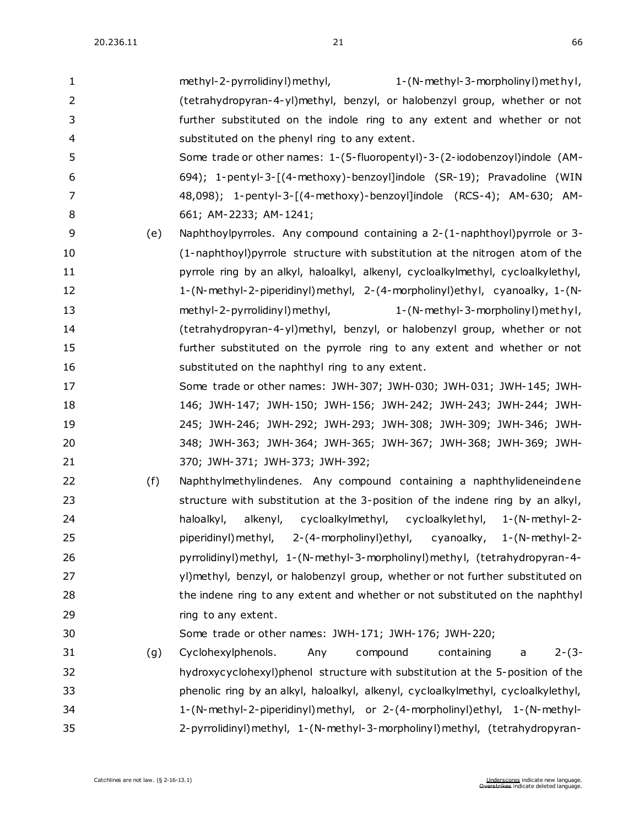| $\mathbf{1}$   |     | methyl-2-pyrrolidinyl) methyl,<br>1-(N-methyl-3-morpholinyl) methyl,              |
|----------------|-----|-----------------------------------------------------------------------------------|
| $\overline{2}$ |     | (tetrahydropyran-4-yl)methyl, benzyl, or halobenzyl group, whether or not         |
| 3              |     | further substituted on the indole ring to any extent and whether or not           |
| 4              |     | substituted on the phenyl ring to any extent.                                     |
| 5              |     | Some trade or other names: 1-(5-fluoropentyl)-3-(2-iodobenzoyl)indole (AM-        |
| 6              |     | 694); 1-pentyl-3-[(4-methoxy)-benzoyl]indole (SR-19); Pravadoline (WIN            |
| 7              |     | 48,098); 1-pentyl-3-[(4-methoxy)-benzoyl]indole (RCS-4); AM-630; AM-              |
| 8              |     | 661; AM-2233; AM-1241;                                                            |
| 9              | (e) | Naphthoylpyrroles. Any compound containing a 2-(1-naphthoyl)pyrrole or 3-         |
| 10             |     | (1-naphthoyl) pyrrole structure with substitution at the nitrogen atom of the     |
| 11             |     | pyrrole ring by an alkyl, haloalkyl, alkenyl, cycloalkylmethyl, cycloalkylethyl,  |
| 12             |     | 1-(N-methyl-2-piperidinyl)methyl, 2-(4-morpholinyl)ethyl, cyanoalky, 1-(N-        |
| 13             |     | methyl-2-pyrrolidinyl) methyl,<br>1-(N-methyl-3-morpholinyl) methyl,              |
| 14             |     | (tetrahydropyran-4-yl)methyl, benzyl, or halobenzyl group, whether or not         |
| 15             |     | further substituted on the pyrrole ring to any extent and whether or not          |
| 16             |     | substituted on the naphthyl ring to any extent.                                   |
| 17             |     | Some trade or other names: JWH-307; JWH-030; JWH-031; JWH-145; JWH-               |
| 18             |     | 146; JWH-147; JWH-150; JWH-156; JWH-242; JWH-243; JWH-244; JWH-                   |
| 19             |     | 245; JWH-246; JWH-292; JWH-293; JWH-308; JWH-309; JWH-346; JWH-                   |
| 20             |     | 348; JWH-363; JWH-364; JWH-365; JWH-367; JWH-368; JWH-369; JWH-                   |
| 21             |     | 370; JWH-371; JWH-373; JWH-392;                                                   |
| 22             | (f) | Naphthylmethylindenes. Any compound containing a naphthylideneindene              |
| 23             |     | structure with substitution at the 3-position of the indene ring by an alkyl,     |
| 24             |     | alkenyl, cycloalkylmethyl, cycloalkylethyl, 1-(N-methyl-2-<br>haloalkyl,          |
| 25             |     | piperidinyl) methyl, 2-(4-morpholinyl) ethyl,<br>cyanoalky,<br>$1-(N-methyl-2-$   |
| 26             |     | pyrrolidinyl) methyl, 1-(N-methyl-3-morpholinyl) methyl, (tetrahydropyran-4-      |
| 27             |     | yl)methyl, benzyl, or halobenzyl group, whether or not further substituted on     |
| 28             |     | the indene ring to any extent and whether or not substituted on the naphthyl      |
| 29             |     | ring to any extent.                                                               |
| 30             |     | Some trade or other names: JWH-171; JWH-176; JWH-220;                             |
| 31             | (g) | Cyclohexylphenols.<br>compound<br>containing<br>$2-(3-$<br>Any<br>a               |
| 32             |     | hydroxycyclohexyl)phenol structure with substitution at the 5-position of the     |
| 33             |     | phenolic ring by an alkyl, haloalkyl, alkenyl, cycloalkylmethyl, cycloalkylethyl, |
| 34             |     | 1-(N-methyl-2-piperidinyl)methyl, or 2-(4-morpholinyl)ethyl, 1-(N-methyl-         |
| 35             |     | 2-pyrrolidinyl) methyl, 1-(N-methyl-3-morpholinyl) methyl, (tetrahydropyran-      |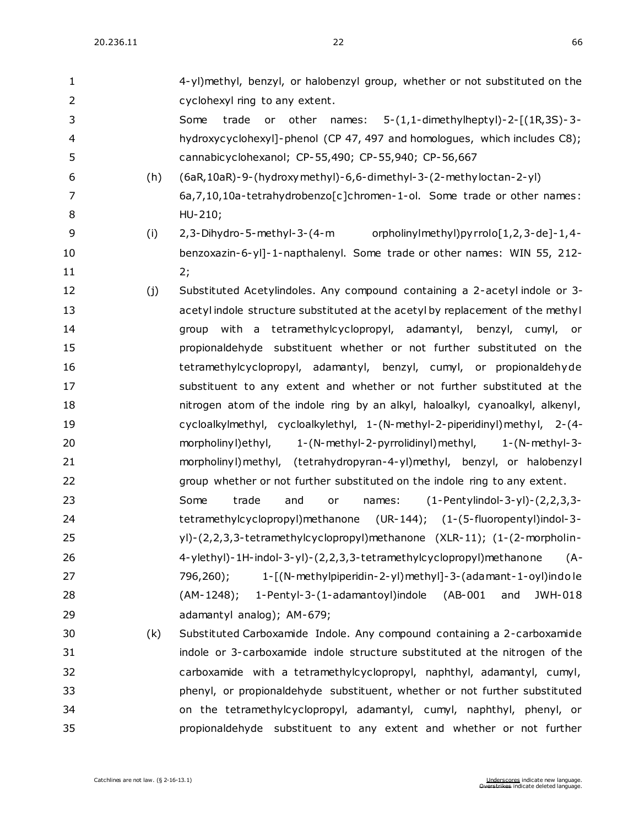| 1              |     | 4-yl)methyl, benzyl, or halobenzyl group, whether or not substituted on the     |
|----------------|-----|---------------------------------------------------------------------------------|
| $\overline{2}$ |     | cyclohexyl ring to any extent.                                                  |
| 3              |     | 5-(1,1-dimethylheptyl)-2-[(1R,3S)-3-<br>Some<br>trade<br>other<br>or<br>names:  |
| 4              |     | hydroxycyclohexyl]-phenol (CP 47, 497 and homologues, which includes C8);       |
| 5              |     | cannabicyclohexanol; CP-55,490; CP-55,940; CP-56,667                            |
| 6              | (h) | (6aR, 10aR) - 9- (hydroxy methyl) - 6, 6- dimethyl - 3- (2- methyloctan - 2-yl) |
| 7              |     | 6a, 7, 10, 10a-tetrahydrobenzo[c]chromen-1-ol. Some trade or other names:       |
| 8              |     | HU-210;                                                                         |
| 9              | (i) | orpholinyImethyI)pyrrolo[1,2,3-de]-1,4-<br>2,3-Dihydro-5-methyl-3-(4-m          |
| 10             |     | benzoxazin-6-yl]-1-napthalenyl. Some trade or other names: WIN 55, 212-         |
| 11             |     | 2;                                                                              |
| 12             | (j) | Substituted Acetylindoles. Any compound containing a 2-acetyl indole or 3-      |
| 13             |     | acetyl indole structure substituted at the acetyl by replacement of the methyl  |
| 14             |     | group with a tetramethylcyclopropyl, adamantyl, benzyl, cumyl,<br>or -          |
| 15             |     | propionaldehyde substituent whether or not further substituted on the           |
| 16             |     | tetramethylcyclopropyl, adamantyl, benzyl, cumyl, or propionaldehyde            |
| 17             |     | substituent to any extent and whether or not further substituted at the         |
| 18             |     | nitrogen atom of the indole ring by an alkyl, haloalkyl, cyanoalkyl, alkenyl,   |
| 19             |     | cycloalkylmethyl, cycloalkylethyl, 1-(N-methyl-2-piperidinyl)methyl, 2-(4-      |
| 20             |     | morpholinyl) ethyl,<br>1-(N-methyl-2-pyrrolidinyl) methyl,<br>$1-(N-methyl-3-$  |
| 21             |     | morpholinyl) methyl, (tetrahydropyran-4-yl) methyl, benzyl, or halobenzyl       |
| 22             |     | group whether or not further substituted on the indole ring to any extent.      |
| 23             |     | $(1-Pertylindol-3-yl)-(2,2,3,3-$<br>Some<br>trade<br>names:<br>and<br>or        |
| 24             |     | tetramethylcyclopropyl)methanone (UR-144); (1-(5-fluoropentyl)indol-3-          |
| 25             |     | yl)-(2,2,3,3-tetramethylcyclopropyl)methanone (XLR-11); (1-(2-morpholin-        |
| 26             |     | 4-ylethyl)-1H-indol-3-yl)-(2,2,3,3-tetramethylcyclopropyl)methanone<br>$(A -$   |
| 27             |     | 1-[(N-methylpiperidin-2-yl)methyl]-3-(adamant-1-oyl)indole<br>796,260);         |
| 28             |     | 1-Pentyl-3-(1-adamantoyl)indole (AB-001<br>and<br>JWH-018<br>(AM-1248);         |
| 29             |     | adamantyl analog); AM-679;                                                      |
| 30             | (k) | Substituted Carboxamide Indole. Any compound containing a 2-carboxamide         |
| 31             |     | indole or 3-carboxamide indole structure substituted at the nitrogen of the     |
| 32             |     | carboxamide with a tetramethylcyclopropyl, naphthyl, adamantyl, cumyl,          |
| 33             |     | phenyl, or propionaldehyde substituent, whether or not further substituted      |
| 34             |     | on the tetramethylcyclopropyl, adamantyl, cumyl, naphthyl, phenyl, or           |
| 35             |     | propionaldehyde substituent to any extent and whether or not further            |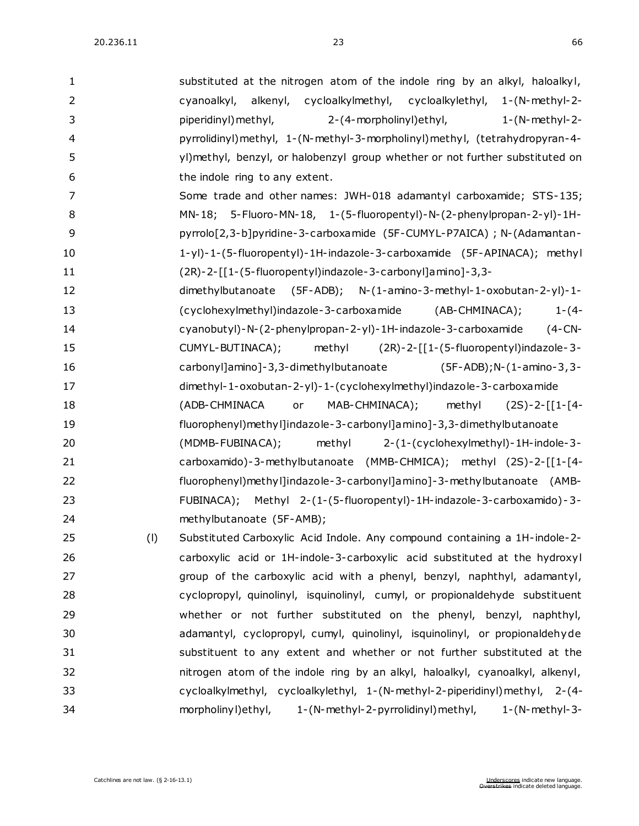| $\mathbf{1}$   |     | substituted at the nitrogen atom of the indole ring by an alkyl, haloalkyl,    |
|----------------|-----|--------------------------------------------------------------------------------|
| $\overline{2}$ |     | cyanoalkyl, alkenyl, cycloalkylmethyl, cycloalkylethyl, 1-(N-methyl-2-         |
| 3              |     | piperidinyl) methyl,<br>2-(4-morpholinyl) ethyl,<br>$1-(N-methyl-2-$           |
| 4              |     | pyrrolidinyl) methyl, 1-(N-methyl-3-morpholinyl) methyl, (tetrahydropyran-4-   |
| 5              |     | yl)methyl, benzyl, or halobenzyl group whether or not further substituted on   |
| 6              |     | the indole ring to any extent.                                                 |
| 7              |     | Some trade and other names: JWH-018 adamantyl carboxamide; STS-135;            |
| 8              |     | MN-18; 5-Fluoro-MN-18, 1-(5-fluoropentyl)-N-(2-phenylpropan-2-yl)-1H-          |
| 9              |     | pyrrolo[2,3-b]pyridine-3-carboxamide (5F-CUMYL-P7AICA); N-(Adamantan-          |
| 10             |     | 1-yl)-1-(5-fluoropentyl)-1H-indazole-3-carboxamide (5F-APINACA); methyl        |
| 11             |     | (2R)-2-[[1-(5-fluoropentyl)indazole-3-carbonyl]amino]-3,3-                     |
| 12             |     | dimethylbutanoate<br>$(5F-ADB);$ N- $(1-amino-3-methyl-1-oxobutan-2-yl)-1-$    |
| 13             |     | (AB-CHMINACA);<br>(cyclohexylmethyl)indazole-3-carboxamide<br>$1 - (4 -$       |
| 14             |     | cyanobutyl)-N-(2-phenylpropan-2-yl)-1H-indazole-3-carboxamide<br>$(4$ -CN-     |
| 15             |     | methyl (2R)-2-[[1-(5-fluoropentyl)indazole-3-<br>CUMYL-BUTINACA);              |
| 16             |     | carbonyl]amino]-3,3-dimethylbutanoate<br>$(5F-ADB); N-(1-amino-3, 3-$          |
| 17             |     | dimethyl-1-oxobutan-2-yl)-1-(cyclohexylmethyl)indazole-3-carboxa mide          |
| 18             |     | (ADB-CHMINACA<br>MAB-CHMINACA);<br>methyl<br>or<br>$(2S)-2-[[1-[4-$            |
| 19             |     | fluorophenyl) methyl]indazole-3-carbonyl]amino]-3,3-dimethylbutanoate          |
| 20             |     | (MDMB-FUBINACA);<br>methyl<br>2-(1-(cyclohexylmethyl)-1H-indole-3-             |
| 21             |     | carboxamido)-3-methylbutanoate (MMB-CHMICA); methyl (2S)-2-[[1-[4-             |
| 22             |     | fluorophenyl)methyl]indazole-3-carbonyl]amino]-3-methylbutanoate (AMB-         |
| 23             |     | FUBINACA); Methyl 2-(1-(5-fluoropentyl)-1H-indazole-3-carboxamido)-3-          |
| 24             |     | methylbutanoate (5F-AMB);                                                      |
| 25             | (1) | Substituted Carboxylic Acid Indole. Any compound containing a 1H-indole-2-     |
| 26             |     | carboxylic acid or 1H-indole-3-carboxylic acid substituted at the hydroxyl     |
| 27             |     | group of the carboxylic acid with a phenyl, benzyl, naphthyl, adamantyl,       |
| 28             |     | cyclopropyl, quinolinyl, isquinolinyl, cumyl, or propionaldehyde substituent   |
| 29             |     | whether or not further substituted on the phenyl, benzyl, naphthyl,            |
| 30             |     | adamantyl, cyclopropyl, cumyl, quinolinyl, isquinolinyl, or propionaldehyde    |
| 31             |     | substituent to any extent and whether or not further substituted at the        |
| 32             |     | nitrogen atom of the indole ring by an alkyl, haloalkyl, cyanoalkyl, alkenyl,  |
| 33             |     | cycloalkylmethyl, cycloalkylethyl, 1-(N-methyl-2-piperidinyl)methyl, 2-(4-     |
| 34             |     | 1-(N-methyl-2-pyrrolidinyl) methyl,<br>morpholinyl) ethyl,<br>$1-(N-methyl-3-$ |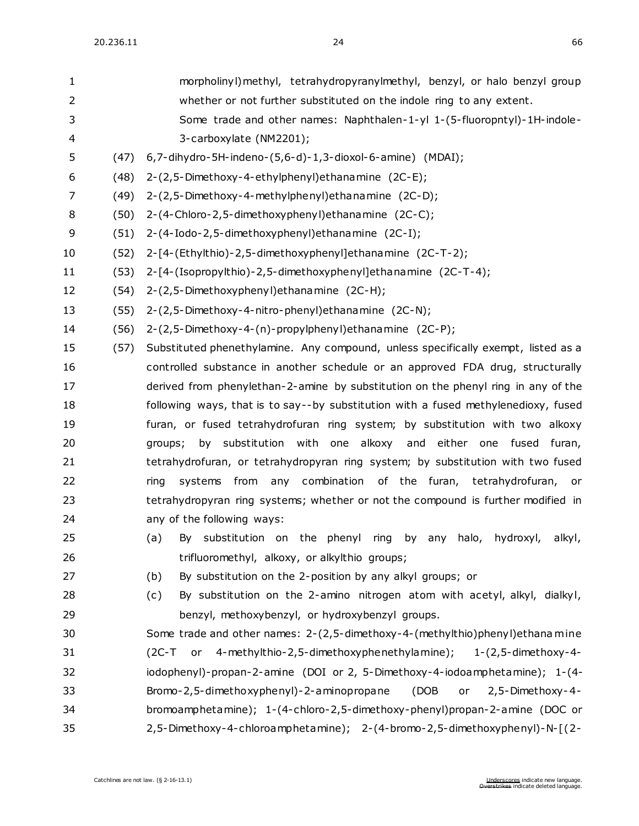| 1  |      | morpholinyl) methyl, tetrahydropyranylmethyl, benzyl, or halo benzyl group         |
|----|------|------------------------------------------------------------------------------------|
| 2  |      | whether or not further substituted on the indole ring to any extent.               |
| 3  |      | Some trade and other names: Naphthalen-1-yl 1-(5-fluoropntyl)-1H-indole-           |
| 4  |      | 3-carboxylate (NM2201);                                                            |
| 5  | (47) | $6, 7$ -dihydro-5H-indeno- $(5, 6$ -d)-1,3-dioxol-6-amine) (MDAI);                 |
| 6  | (48) | 2-(2,5-Dimethoxy-4-ethylphenyl) ethanamine (2C-E);                                 |
| 7  | (49) | 2-(2,5-Dimethoxy-4-methylphenyl) ethanamine (2C-D);                                |
| 8  | (50) | 2-(4-Chloro-2,5-dimethoxyphenyl) ethanamine (2C-C);                                |
| 9  | (51) | 2-(4-Iodo-2,5-dimethoxyphenyl) ethanamine (2C-I);                                  |
| 10 | (52) | 2-[4-(Ethylthio)-2,5-dimethoxyphenyl]ethanamine (2C-T-2);                          |
| 11 | (53) | 2-[4-(Isopropylthio)-2,5-dimethoxyphenyl]ethanamine (2C-T-4);                      |
| 12 | (54) | 2-(2,5-Dimethoxyphenyl) ethanamine (2C-H);                                         |
| 13 | (55) | 2-(2,5-Dimethoxy-4-nitro-phenyl) ethanamine (2C-N);                                |
| 14 | (56) | 2-(2,5-Dimethoxy-4-(n)-propylphenyl)ethanamine (2C-P);                             |
| 15 | (57) | Substituted phenethylamine. Any compound, unless specifically exempt, listed as a  |
| 16 |      | controlled substance in another schedule or an approved FDA drug, structurally     |
| 17 |      | derived from phenylethan-2-amine by substitution on the phenyl ring in any of the  |
| 18 |      | following ways, that is to say--by substitution with a fused methylenedioxy, fused |
| 19 |      | furan, or fused tetrahydrofuran ring system; by substitution with two alkoxy       |
| 20 |      | by substitution with one alkoxy and either one fused furan,<br>groups;             |
| 21 |      | tetrahydrofuran, or tetrahydropyran ring system; by substitution with two fused    |
| 22 |      | systems from any combination of the furan, tetrahydrofuran, or<br>ring             |
| 23 |      | tetrahydropyran ring systems; whether or not the compound is further modified in   |
| 24 |      | any of the following ways:                                                         |
| 25 |      | (a) By substitution on the phenyl ring by any halo, hydroxyl, alkyl,               |
| 26 |      | trifluoromethyl, alkoxy, or alkylthio groups;                                      |
| 27 |      | (b)<br>By substitution on the 2-position by any alkyl groups; or                   |
| 28 |      | By substitution on the 2-amino nitrogen atom with acetyl, alkyl, dialkyl,<br>(c)   |
| 29 |      | benzyl, methoxybenzyl, or hydroxybenzyl groups.                                    |
| 30 |      | Some trade and other names: 2-(2,5-dimethoxy-4-(methylthio)phenyl)ethana mine      |
| 31 |      | (2C-T or 4-methylthio-2,5-dimethoxyphenethylamine);<br>$1-(2,5$ -dimethoxy-4-      |
| 32 |      | iodophenyl)-propan-2-amine (DOI or 2, 5-Dimethoxy-4-iodoamphetamine); 1-(4-        |
| 33 |      | Bromo-2,5-dimethoxyphenyl)-2-aminopropane<br>(DOB<br>2,5-Dimethoxy-4-<br>or        |
| 34 |      | bromoamphetamine); 1-(4-chloro-2,5-dimethoxy-phenyl)propan-2-amine (DOC or         |
| 35 |      | 2,5-Dimethoxy-4-chloroamphetamine); 2-(4-bromo-2,5-dimethoxyphenyl)-N-[(2-         |
|    |      |                                                                                    |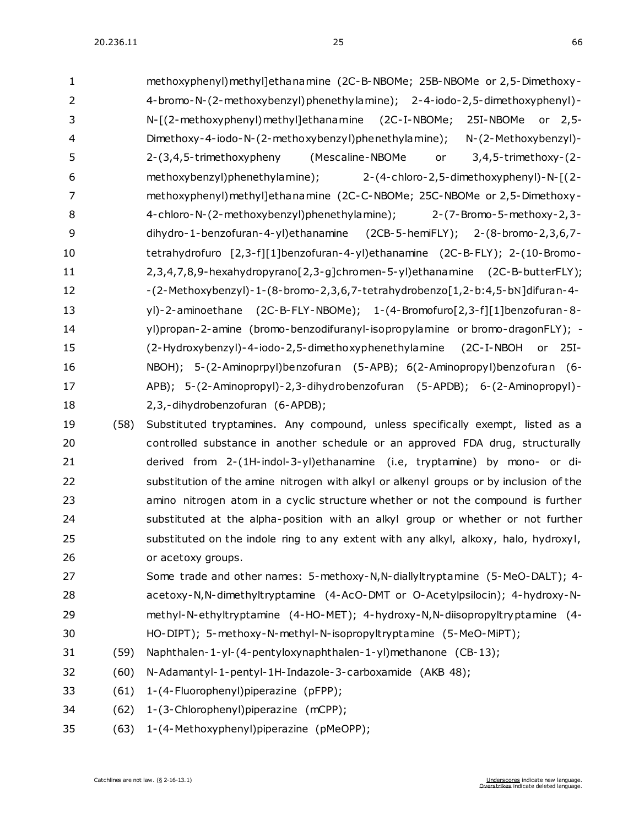| 1  | methoxyphenyl) methyl]ethanamine (2C-B-NBOMe; 25B-NBOMe or 2,5-Dimethoxy-                                                                                                                                                                                                                                                                                                                                                                         |
|----|---------------------------------------------------------------------------------------------------------------------------------------------------------------------------------------------------------------------------------------------------------------------------------------------------------------------------------------------------------------------------------------------------------------------------------------------------|
| 2  | 4-bromo-N-(2-methoxybenzyl)phenethylamine); 2-4-iodo-2,5-dimethoxyphenyl)-                                                                                                                                                                                                                                                                                                                                                                        |
| 3  | N-[(2-methoxyphenyl)methyl]ethanamine (2C-I-NBOMe;<br>25I-NBOMe<br>or 2,5-                                                                                                                                                                                                                                                                                                                                                                        |
| 4  | Dimethoxy-4-iodo-N-(2-methoxybenzyl)phenethylamine);<br>N-(2-Methoxybenzyl)-                                                                                                                                                                                                                                                                                                                                                                      |
| 5  | (Mescaline-NBOMe<br>2-(3,4,5-trimethoxypheny<br>$3,4,5$ -trimethoxy- $(2-$<br>or                                                                                                                                                                                                                                                                                                                                                                  |
| 6  | methoxybenzyl)phenethylamine);<br>$2-(4-chloro-2,5-dimethoxyphenyl)-N-[2-dimethoxyphenyl]-N-[(2-dimethoxyphenyl)]-N-[(2-dimethoxyphenyl)]-N-[(2-dimethoxyphenyl)]-N-[(2-dimethoxyphenyl)]-N-[(2-dimethoxyphenyl)]-N-[(2-dimethoxyphenyl)]-N-[(2-dimethoxyphenyl)]-N-[(2-dimethoxyphenyl)]-N-[(2-dimethoxy пcl, 2-dimethoxy пcl, 2-dimethoxy gcl, 2-dimethoxy gcl, 2-dimethoxy gcl, 2-dimethoxy gcl, 2-dimethoxy gcl, 2-dimethoxy gcl, 2-dimethox$ |
| 7  | methoxyphenyl) methyl]ethanamine (2C-C-NBOMe; 25C-NBOMe or 2,5-Dimethoxy-                                                                                                                                                                                                                                                                                                                                                                         |
| 8  | 4-chloro-N-(2-methoxybenzyl)phenethylamine);<br>2-(7-Bromo-5-methoxy-2,3-                                                                                                                                                                                                                                                                                                                                                                         |
| 9  | dihydro-1-benzofuran-4-yl)ethanamine (2CB-5-hemiFLY); 2-(8-bromo-2,3,6,7-                                                                                                                                                                                                                                                                                                                                                                         |
| 10 | tetrahydrofuro [2,3-f][1]benzofuran-4-yl)ethanamine (2C-B-FLY); 2-(10-Bromo-                                                                                                                                                                                                                                                                                                                                                                      |
| 11 | 2, 3, 4, 7, 8, 9-hexahydropyrano[2, 3-g]chromen-5-yl) ethanamine (2C-B-butterFLY);                                                                                                                                                                                                                                                                                                                                                                |
| 12 | -(2-Methoxybenzyl)-1-(8-bromo-2,3,6,7-tetrahydrobenzo[1,2-b:4,5-bN]difuran-4-                                                                                                                                                                                                                                                                                                                                                                     |
| 13 | yl)-2-aminoethane (2C-B-FLY-NBOMe); 1-(4-Bromofuro[2,3-f][1]benzofuran-8-                                                                                                                                                                                                                                                                                                                                                                         |
| 14 | yl)propan-2-amine (bromo-benzodifuranyl-isopropylamine or bromo-dragonFLY); -                                                                                                                                                                                                                                                                                                                                                                     |
| 15 | (2-Hydroxybenzyl)-4-iodo-2,5-dimethoxyphenethylamine (2C-I-NBOH or 25I-                                                                                                                                                                                                                                                                                                                                                                           |
| 16 | NBOH); 5-(2-Aminoprpyl)benzofuran (5-APB); 6(2-Aminopropyl)benzofuran (6-                                                                                                                                                                                                                                                                                                                                                                         |
| 17 | APB); 5-(2-Aminopropyl)-2,3-dihydrobenzofuran (5-APDB); 6-(2-Aminopropyl)-                                                                                                                                                                                                                                                                                                                                                                        |
| 18 | 2,3,-dihydrobenzofuran (6-APDB);                                                                                                                                                                                                                                                                                                                                                                                                                  |
| 19 | Substituted tryptamines. Any compound, unless specifically exempt, listed as a<br>(58)                                                                                                                                                                                                                                                                                                                                                            |
| 20 | controlled substance in another schedule or an approved FDA drug, structurally                                                                                                                                                                                                                                                                                                                                                                    |
| 21 | derived from 2-(1H-indol-3-yl)ethanamine (i.e, tryptamine) by mono- or di-                                                                                                                                                                                                                                                                                                                                                                        |
|    |                                                                                                                                                                                                                                                                                                                                                                                                                                                   |

- 22 substitution of the amine nitrogen with alkyl or alkenyl groups or by inclusion of the amino nitrogen atom in a cyclic structure whether or not the compound is further substituted at the alpha-position with an alkyl group or whether or not further substituted on the indole ring to any extent with any alkyl, alkoxy, halo, hydroxyl, or acetoxy groups.
- Some trade and other names: 5-methoxy-N,N-diallyltryptamine (5-MeO-DALT); 4- acetoxy-N,N-dimethyltryptamine (4-AcO-DMT or O-Acetylpsilocin); 4-hydroxy-N- methyl-N-ethyltryptamine (4-HO-MET); 4-hydroxy-N,N-diisopropyltryptamine (4- HO-DIPT); 5-methoxy-N-methyl-N-isopropyltryptamine (5-MeO-MiPT);
- (59) Naphthalen-1-yl-(4-pentyloxynaphthalen-1-yl)methanone (CB-13);
- (60) N-Adamantyl-1-pentyl-1H-Indazole-3-carboxamide (AKB 48);
- (61) 1-(4-Fluorophenyl)piperazine (pFPP);
- (62) 1-(3-Chlorophenyl)piperazine (mCPP);
- (63) 1-(4-Methoxyphenyl)piperazine (pMeOPP);